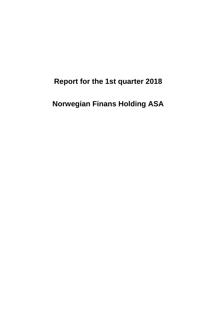# **Report for the 1st quarter 2018**

# **Norwegian Finans Holding ASA**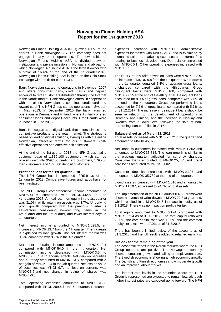# **Norwegian Finans Holding ASA Report for the 1st quarter 2018**

Norwegian Finans Holding ASA (NFH) owns 100% of the shares in Bank Norwegian AS. The company does not engage in any other operations. The ownership of Norwegian Finans Holding ASA is divided between institutional and private investors in Norway and abroad, of which Norwegian Air Shuttle ASA is the largest owner with a stake of 16.4% at the end of the 1st quarter 2018. Norwegian Finans Holding ASA is listed on the Oslo Stock Exchange with the ticker code NOFI.

Bank Norwegian started its operations in November 2007 and offers consumer loans, credit cards and deposit accounts to retail customers distributed through the Internet in the Nordic market. Bank Norwegian offers, in cooperation with the airline Norwegian, a combined credit card and reward card. The NFH Group started operations in Sweden in May 2013. In December 2015 the bank launched operations in Denmark and Finland, where it initially offered consumer loans and deposit accounts. Credit cards were launched in June 2016.

Bank Norwegian is a digital bank that offers simple and competitive products to the retail market. The strategy is based on leading digital solutions, synergies with the airline Norwegian, attractive terms for our customers, costeffective operations and effective risk selection.

At the end of the 1st quarter 2018 the NFH Group had a customer base of 1,316,100 customers, which can be broken down into 959,400 credit card customers, 179,200 loan customers and 177,500 deposit customers.

#### **Profit and loss for the 1st quarter 2018**

The NFH Group has implemented IFRS 9 as of the 1st quarter 2018. Comparative figures and ratios have not been restated.

The NFH Group's comprehensive income amounted to MNOK 410.6 compared with MNOK 442.8 in the 4th quarter 2017. Annual return on equity in the 1st quarter was 31.0%, while return on assets was 3.7%. Underlying profit growth compared with the previous quarter is satisfactory considering non-recurring items in the 4th quarter and the 1st quarter, and fewer interest days in 1st quarter.

Net interest income amounted to MNOK 1,028.5, an increase of MNOK 13.7 from the 4th quarter. The increase is explained by loan growth. The net interest margin was 9.5%, compared with 9.7% in the 4th quarter.

Net other operating income amounted to MNOK 40.4 compared with MNOK 54.0 in the 4th quarter. Net commission income decreased with MNOK 3.5 to MNOK 53.8 due to accrual effects. Net gain on securities and currency amounted to MNOK -13.5, compared with a net gain of MNOK -3.4 in the 4th quarter. Net loss on value of securities was MNOK 9.7, net loss on currency was MNOK 3.5 and net change in value of shares was MNOK -0.3.

Total operating expenses amounted to MNOK 312.6 compared with MNOK 289.6 in the 4th quarter. Personnel expenses increased with MNOK 1.0. Administrative expenses increased with MNOK 21.7, and is explained by increased sale and marketing expenses and external fees relating to business development. Depreciation increased with MNOK 0.1. Other operating expenses increased with MNOK 0.2.

The NFH Group's write-downs on loans were MNOK 208.9, an increase of MNOK 9.8 from the 4th quarter. Write-downs in the 1st quarter equalled 2.4% of average gross loans, unchanged compared with the 4th quarter. Gross delinquent loans were MNOK 3,160, compared with MNOK 2,615 at the end of the 4th quarter. Delinquent loans accounted for 9.0% of gross loans, compared with 7.8% at the end of the 4th quarter. Gross non-performing loans accounted for 7.1% of gross loans, compared with 5.7% as of 31.12.2017. The increase in delinquent loans should be seen in relation to the development of operations in Denmark and Finland, and the increase in Norway and Sweden from a lower level following the sale of nonperforming loan portfolios in 2017.

#### **Balance sheet as of March 31, 2018**

Total assets increased with MNOK 2,372 in the quarter and amounted to MNOK 45,372.

Net loans to customers increased with MNOK 1,362 and amounted to MNOK 33,814. The loan growth is similar to the previous quarter, adjusted for currency changes. Consumer loans amounted to MNOK 25,454 and credit card loans amounted to MNOK 9,602.

Customer deposits increased with MNOK 2,107 and amounted to MNOK 35,789 at the end of the quarter.

Liquid assets increased with MNOK 1,010 and amounted to MNOK 11,197, equivalent to 24.7% of total assets.

The implementation of the NFH Group's IFRS 9 framework shows a reversal of write-downs of MNOK 72.8 at year-end, which resulted in a MNOK 54.6 increase in equity as of 1.1.2018. There was no impact on profit after tax.

Total equity amounted to MNOK 6,174, compared with MNOK 5,714 as of 31.12.2017. The total capital ratio was 20.5%, the core capital ratio was 19.0% and the common equity tier 1 ratio was 17.0% as of 31.3.2018.

There has been a limited review of the accounts as of 31.3.2018, and the full result is added to retained earnings.

#### **Outlook for the remaining of the year**

The economic trends in the Nordic markets where the NFH Group operates are positive. The Norwegian economy shows increasing growth and falling unemployment rate. The Swedish economy is showing a high economic growth. The Danish and Finnish economies show moderate growth and an improved labour market.

The interest rate levels in the countries where the NFH Group is represented are expected to remain low, although higher interest rates are expected going forward. The NFH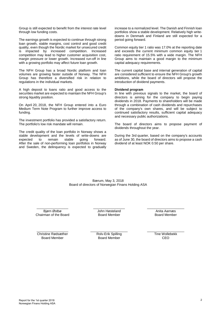Group is still expected to benefit from the interest rate level through low funding costs.

The earnings growth is expected to continue through strong loan growth, stable margins, cost control and good credit quality, even though the Nordic market for unsecured credit is impacted by increased competition. Increased competition may lead to higher customer acquisition cost, margin pressure or lower growth. Increased run-off in line with a growing portfolio may affect future loan growth.

The NFH Group has a broad Nordic platform and loan volumes are growing faster outside of Norway. The NFH Group has therefore a diversified risk in relation to regulations in the individual markets.

A high deposit to loans ratio and good access to the securities market are expected to maintain the NFH Group's strong liquidity position.

On April 20, 2018, the NFH Group entered into a Euro Medium Term Note Program to further improve access to funding.

The investment portfolio has provided a satisfactory return. The portfolio's low risk mandate will remain.

The credit quality of the loan portfolio in Norway shows a stable development and the levels of write-downs are<br>expected to remain stable going forward. remain After the sale of non-performing loan portfolios in Norway and Sweden, the delinquency is expected to gradually increase to a normalized level. The Danish and Finnish loan portfolios show a stable development. Relatively high writedowns in Denmark and Finland are still expected for a period going forward.

Common equity tier 1 ratio was 17.0% at the reporting date and exceeds the current minimum common equity tier 1 ratio requirement of 15.5% with a wide margin. The NFH Group aims to maintain a good margin to the minimum capital adequacy requirements.

The current capital base and internal generation of capital are considered sufficient to ensure the NFH Group's growth ambitions, while the board of directors will propose the introduction of dividend payments.

#### **Dividend program**

In line with previous signals to the market, the board of directors is aiming for the company to begin paying dividends in 2018. Payments to shareholders will be made through a combination of cash dividends and repurchases of the company's own shares, and will be subject to continued satisfactory results, sufficient capital adequacy and necessary public authorizations.

The board of directors aims to propose payment of dividends throughout the year.

During the 3rd quarter, based on the company's accounts as of June 30, the board of directors aims to propose a cash dividend of at least NOK 0.50 per share.

Bærum, May 3, 2018 Board of directors of Norwegian Finans Holding ASA

\_\_\_\_\_\_\_\_\_\_\_\_\_\_\_\_\_ Bjørn Østbø Chairman of the Board  $\overline{\phantom{a}}$  , which is a set of the set of the set of the set of the set of the set of the set of the set of the set of the set of the set of the set of the set of the set of the set of the set of the set of the set of th John Høsteland Board Member

\_\_\_\_\_\_\_\_\_\_\_\_\_\_\_\_\_\_\_\_ Anita Aarnæs Board Member

\_\_\_\_\_\_\_\_\_\_\_\_\_\_\_\_\_ Christine Rødsæther Board Member

\_\_\_\_\_\_\_\_\_\_\_\_\_\_\_\_\_\_\_\_ Rolv-Erik Spilling Board Member

\_\_\_\_\_\_\_\_\_\_\_\_\_\_\_\_\_\_\_\_ Tine Wollebekk C<sub>EO</sub>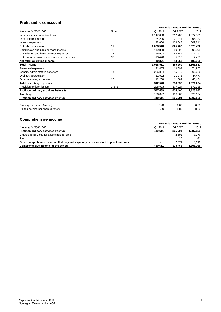# **Profit and loss account**

|                                                |         | Norwegian Finans Holding Group |         |           |  |
|------------------------------------------------|---------|--------------------------------|---------|-----------|--|
| Amounts in NOK 1000                            | Note    | Q1 2018                        | Q1 2017 | 2017      |  |
| Interest income, amortised cost                |         | 1,147,000                      | 912,707 | 4,077,561 |  |
| Other interest income                          |         | 24,206                         | 21,341  | 95,122    |  |
| Interest expenses                              |         | 142,666                        | 108,347 | 502,211   |  |
| Net interest income                            | 11      | 1,028,540                      | 825,702 | 3,670,472 |  |
| Commission and bank services income            | 12      | 119,839                        | 80,892  | 399,998   |  |
| Commission and bank services expenses          | 12      | 65,992                         | 42,149  | 211,091   |  |
| Net change in value on securities and currency | 13      | $-13,476$                      | 5,516   | 7,458     |  |
| Net other operating income                     |         | 40,371                         | 44,258  | 196,365   |  |
| <b>Total income</b>                            |         | 1,068,911                      | 869,960 | 3,866,837 |  |
| Personnel expenses                             |         | 21,485                         | 19,394  | 74,957    |  |
| General administrative expenses                | 14      | 266,894                        | 215,979 | 906,286   |  |
| Ordinary depreciation                          |         | 11,922                         | 11,375  | 44,477    |  |
| Other operating expenses                       | 15      | 12,268                         | 11,589  | 45,484    |  |
| <b>Total operating expenses</b>                |         | 312,570                        | 258,336 | 1,071,204 |  |
| Provision for loan losses                      | 3, 5, 6 | 208,903                        | 177,224 | 672,388   |  |
| Profit on ordinary activities before tax       |         | 547,439                        | 434,400 | 2,123,245 |  |
| Tax charge                                     |         | 136,827                        | 108,609 | 526,194   |  |
| Profit on ordinary activities after tax        |         | 410,611                        | 325,791 | 1,597,050 |  |
| Earnings per share (kroner)                    |         | 2.20                           | 1.80    | 8.60      |  |
| Diluted earning per share (kroner)             |         | 2.20                           | 1.80    | 8.60      |  |

# **Comprehensive income**

| Norwegian Finans Holding Group |         |           |  |
|--------------------------------|---------|-----------|--|
| Q1 2018                        | Q1 2017 | 2017      |  |
| 410.611                        | 325.791 | 1,597,050 |  |
|                                | 2.691   | 8,176     |  |
|                                | -20     | -61       |  |
|                                | 2.671   | 8.115     |  |
| 410.611                        | 328,462 | 1,605,165 |  |
|                                |         |           |  |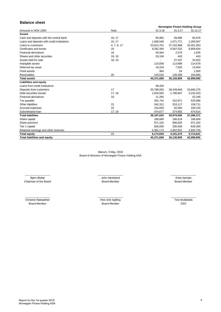# **Balance sheet**

|                                             |             |            | Norwegian Finans Holding Group |            |  |  |
|---------------------------------------------|-------------|------------|--------------------------------|------------|--|--|
| Amounts in NOK 1000                         | Note        | 31.3.18    | 31.3.17                        | 31.12.17   |  |  |
| <b>Assets</b>                               |             |            |                                |            |  |  |
| Cash and deposits with the central bank     | 10, 17      | 65,982     | 59,986                         | 65,976     |  |  |
| Loans and deposits with credit institutions | 10, 17      | 1,838,548  | 1,071,771                      | 1,260,947  |  |  |
| Loans to customers                          | 4, 7, 8, 17 | 33,813,701 | 27,152,968                     | 32,451,553 |  |  |
| Certificates and bonds                      | 16          | 9,292,364  | 6,567,532                      | 8,859,834  |  |  |
| <b>Financial derivatives</b>                | 16          | 49,364     | 2.578                          | 1,935      |  |  |
| Shares and other securities                 | 16, 19      | 33,104     | 443                            | 443        |  |  |
| Assets held for sale                        | 16, 19      |            | 27,437                         | 32,922     |  |  |
| Intangible assets                           |             | 115,836    | 113,698                        | 114,678    |  |  |
| Deferred tax asset                          |             | 18,333     | 7,925                          | 15,904     |  |  |
| <b>Fixed assets</b>                         |             | 904        | 54                             | 1,000      |  |  |
| <b>Receivables</b>                          | 20          | 143.533    | 126,469                        | 194,800    |  |  |
| <b>Total assets</b>                         |             | 45,371,669 | 35,130,859                     | 42,999,992 |  |  |
| <b>Liabilities and equity</b>               |             |            |                                |            |  |  |
| Loans from credit institutions              |             | 99,200     |                                |            |  |  |
| Deposits from customers                     | 17          | 35,789,003 | 28,249,846                     | 33,682,275 |  |  |
| Debt securities issued                      | 17, 18      | 1,934,592  | 1,798,667                      | 2,242,423  |  |  |
| <b>Financial derivatives</b>                | 16          | 11,264     |                                | 52,246     |  |  |
| Tax payable                                 |             | 391,742    | 310,971                        | 525,886    |  |  |
| Other liabilities                           | 21          | 342,312    | 253,117                        | 158,711    |  |  |
| Accrued expenses                            | 22          | 154.835    | 92,092                         | 150,216    |  |  |
| Subordinated Ioan                           | 17, 18      | 474,677    | 274,892                        | 474,614    |  |  |
| <b>Total liabilities</b>                    |             | 39,197,625 | 30,979,585                     | 37,286,371 |  |  |
| Share capital                               |             | 186,689    | 186,619                        | 186,689    |  |  |
| Share premium                               |             | 971,182    | 966,825                        | 971,182    |  |  |
| Tier 1 capital                              |             | 635,000    | 335,000                        | 635,000    |  |  |
| Retained earnings and other reserves        |             | 4,381,173  | 2,662,831                      | 3,920,750  |  |  |
| <b>Total equity</b>                         | 23          | 6,174,044  | 4,151,274                      | 5,713,621  |  |  |
| <b>Total liabilities and equity</b>         |             | 45,371,669 | 35,130,859                     | 42,999,992 |  |  |

Bærum, 3 May, 2018 Board of directors of Norwegian Finans Holding ASA

Chairman of the Board **Board Access 1996** Board Member Bjørn Østbø **Green Biskop II van de Frankrike Bjørn Østbø** \_\_\_\_\_\_\_\_\_\_\_\_\_\_\_\_\_ \_\_\_\_\_\_\_\_\_\_\_\_\_\_\_\_\_ \_\_\_\_\_\_\_\_\_\_\_\_\_\_\_\_\_

Board Member Anita Aarnæs

Christine Rødsæther Rolv-Erik Spilling<br>Board Member Rolv-Erik Spilling<br>Board Member

\_\_\_\_\_\_\_\_\_\_\_\_\_\_\_\_\_ \_\_\_\_\_\_\_\_\_\_\_\_\_\_\_\_\_

Board Member

Tine Wollebekk CEO  $\overline{\phantom{a}}$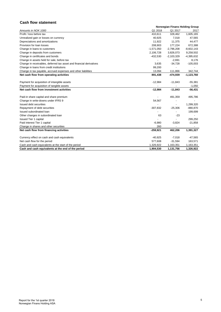# **Cash flow statement**

|                                                                     | Norwegian Finans Holding Group |                          |              |  |  |
|---------------------------------------------------------------------|--------------------------------|--------------------------|--------------|--|--|
| Amounts in NOK 1000                                                 | Q1 2018                        | Q1 2017                  | 2017         |  |  |
| Profit / loss before tax                                            | 410,611                        | 328,462                  | 1,605,165    |  |  |
| Unrealized gain or losses on currency                               | 40,925                         | 7,018                    | 47,565       |  |  |
| Depreciations and amortizations                                     | 11,922                         | 11,375                   | 44,477       |  |  |
| Provision for loan losses                                           | 208,903                        | 177,224                  | 672,388      |  |  |
| Change in loans to customers                                        | $-1,571,050$                   | $-2,796,208$             | $-8,602,143$ |  |  |
| Change in deposits from customers                                   | 2,106,728                      | 3,826,073                | 9,258,502    |  |  |
| Change in certificates and bonds                                    | $-432,530$                     | $-2,103,329$             | $-4,395,632$ |  |  |
| Change in assets held for sale, before tax                          |                                | $-2,691$                 | 8,176        |  |  |
| Change in receivables, deferred tax asset and financial derivatives | 3,635                          | $-34,728$                | $-105,003$   |  |  |
| Change in loans from credit institutions                            | 99,200                         |                          |              |  |  |
| Change in tax payable, accrued expenses and other liabilities       | 13,094                         | 111,866                  | 342,744      |  |  |
| Net cash flow from operating activities                             | 891,438                        | -474,939                 | $-1,123,760$ |  |  |
|                                                                     |                                |                          |              |  |  |
| Payment for acquisition of intangible assets                        | $-12,984$                      | $-11,843$                | $-55,381$    |  |  |
| Payment for acquisition of tangible assets                          |                                |                          | $-1,050$     |  |  |
| Net cash flow from investment activities                            | $-12,984$                      | $-11,843$                | $-56,431$    |  |  |
| Paid-in share capital and share premium                             |                                | 491,359                  | 495,786      |  |  |
| Change in write-downs under IFRS 9                                  | 54,567                         |                          |              |  |  |
| Issued debt securities                                              |                                |                          | 1,299,320    |  |  |
| Repayment of debt securities                                        | $-307,832$                     | $-25,306$                | $-880,870$   |  |  |
| Issued subordinated loan                                            |                                |                          | 199,699      |  |  |
| Other changes in subordinated loan                                  | 63                             | $-23$                    |              |  |  |
| <b>Issued Tier 1 capital</b>                                        |                                |                          | 299,250      |  |  |
| Paid interest Tier 1 capital                                        | $-6,980$                       | $-3,824$                 | $-21,858$    |  |  |
| Change in shares and other securities                               | 260                            | $\overline{\phantom{a}}$ |              |  |  |
| Net cash flow from financing activities                             | $-259,921$                     | 462,206                  | 1,391,327    |  |  |
|                                                                     |                                |                          |              |  |  |
| Currency effect on cash and cash equivalents                        | $-40,925$                      | $-7,018$                 | $-47,565$    |  |  |
| Net cash flow for the period                                        | 577,608                        | $-31,594$                | 163,571      |  |  |
| Cash and cash equivalents at the start of the period                | 1,326,922                      | 1,163,351                | 1,163,351    |  |  |
| Cash and cash equivalents at the end of the period                  | 1,904,530                      | 1,131,756                | 1,326,922    |  |  |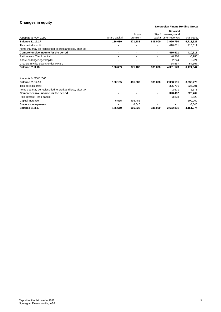# **Changes in equity**

## **Norwegian Finans Holding Group**

|                                                              |               |                          |                          | Retained               |              |
|--------------------------------------------------------------|---------------|--------------------------|--------------------------|------------------------|--------------|
|                                                              |               | Share                    | Tier 1                   | earnings and           |              |
| Amounts in NOK 1000                                          | Share capital | premium                  |                          | capital other reserves | Total equity |
| <b>Balance 31.12.17</b>                                      | 186.689       | 971.182                  | 635.000                  | 3,920,750              | 5,713,621    |
| This period's profit                                         |               |                          |                          | 410.611                | 410,611      |
| Items that may be reclassified to profit and loss, after tax | ۰             | $\overline{\phantom{0}}$ | $\overline{\phantom{0}}$ |                        |              |
| Comprehensive income for the period                          |               |                          |                          | 410.611                | 410,611      |
| Paid interest Tier 1 capital                                 | $\sim$        |                          |                          | $-6.980$               | $-6,980$     |
| Andre endringer egenkapital                                  |               |                          |                          | 2.224                  | 2.224        |
| Change in write-downs under IFRS 9                           |               |                          |                          | 54.567                 | 54,567       |
| <b>Balance 31.3.18</b>                                       | 186.689       | 971,182                  | 635.000                  | 4,381,173              | 6.174.044    |

| Amounts in NOK 1000                                          |                          |          |                          |           |           |
|--------------------------------------------------------------|--------------------------|----------|--------------------------|-----------|-----------|
| <b>Balance 31.12.16</b>                                      | 180.105                  | 481.980  | 335,000                  | 2,338,191 | 3,335,276 |
| This period's profit                                         | $\overline{\phantom{0}}$ |          | $\overline{\phantom{a}}$ | 325.791   | 325.791   |
| Items that may be reclassified to profit and loss, after tax | $\overline{\phantom{a}}$ | -        | $\overline{\phantom{a}}$ | 2.671     | 2,671     |
| Comprehensive income for the period                          |                          |          |                          | 328.462   | 328,462   |
| Paid interest Tier 1 capital                                 | $\overline{\phantom{a}}$ |          |                          | $-3,823$  | $-3.823$  |
| Capital increase                                             | 6.515                    | 493.485  | $\overline{\phantom{a}}$ |           | 500.000   |
| Share issue expenses                                         | $\overline{\phantom{a}}$ | $-8.640$ |                          |           | $-8.640$  |
| <b>Balance 31.3.17</b>                                       | 186.619                  | 966.825  | 335,000                  | 2,662,831 | 4,151,274 |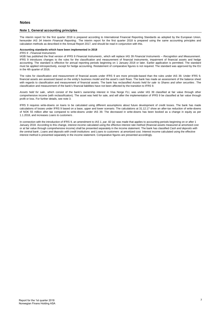#### **Note 1. General accounting principles**

The interim report for the first quarter 2018 is prepared according to International Financial Reporting Standards as adopted by the European Union, hereunder *IAS 34 Interim Financial Reporting* . The interim report for the first quarter 2018 is prepared using the same accounting principles and calculation methods as described in the Annual Report 2017, and should be read in conjunction with this.

#### **Accounting standards which have been implemented in 2018**

*IFRS 9 - Financial Instruments*

IASB has published the final version of IFRS 9 *Financial Instruments* , which will replace IAS 39 *Financial Instruments – Recognition and Measurement* . IFRS 9 introduces changes to the rules for the classification and measurement of financial instruments, impairment of financial assets and hedge accounting. The standard is effective for annual reporting periods beginning on 1 January 2018 or later. Earlier application is permitted. The standard must be applied retrospectively, except for hedge accounting. Restatement of comparative figures is not required. The standard was approved by the EU in the 4th quarter of 2016.

The rules for classification and measurement of financial assets under IFRS 9 are more principle-based than the rules under IAS 39. Under IFRS 9, financial assets are assessed based on the entity's business model and the asset's cash flows. The bank has made an assessment of the balance sheet with regards to classification and measurement of financial assets. The bank has reclassified *Assets held for sale* to *Shares and other securities* . The classification and measurement of the bank's financial liabilities have not been affected by the transition to IFRS 9.

*Assets held for sale* , which consist of the bank's ownership interest in Visa Norge FLI, was under IAS 39 classified at fair value through other comprehensive income (with reclassification). The asset was held for sale, and will after the implementation of IFRS 9 be classified at fair value through profit or loss. For further details, see note 3.

IFRS 9 requires write-downs on loans to be calculated using different assumptions about future development of credit losses. The bank has made calculations of losses under IFRS 9 based on a base, upper and lower scenario. The calculations at 31.12.17 show an after-tax reduction of write-downs of NOK 55 million after tax compared to write-downs under IAS 39. The decreased in write-downs has been booked as a change in equity as per 1.1.2018, and increases *Loans to customers* .

In connection with the introduction of IFRS 9, an amendment to *IAS 1, par. 82 (a)* was made that applies to accounting periods beginning on or after 1 January 2018. According to this change, interest income calculated using the effective interest rate method (financial assets measured at amortized cost or at fair value through comprehensive income) shall be presented separately in the income statement. The bank has classified *Cash and deposits with the central bank* , *Loans and deposits with credit institutions* and *Loans to customers* at amortized cost. Interest income calculated using the effective interest method is presented separately in the income statement. Comparative figures are presented accordingly.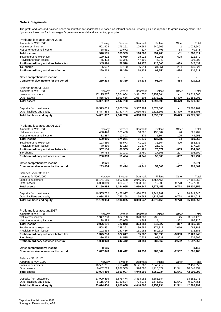## **Note 2. Segments**

The profit and loss and balance sheet presentation for segments are based on internal financial reporting as it is reported to group management. The figures are based on Bank Norwegian's governance model and accounting principles.

Profit and loss account Q1 2018

| Amounts in NOK 1000                                               | Norway                    | Sweden                 | Denmark                | Finland                | Other                 | Total                   |
|-------------------------------------------------------------------|---------------------------|------------------------|------------------------|------------------------|-----------------------|-------------------------|
| Net interest income                                               | 501,904                   | 176,261                | 109,669                | 240.705                | $\overline{2}$        | 1,028,540               |
| Net other operating income                                        | 38,661                    | 10,672                 | 617                    | $-9,496$               | -83                   | 40,371                  |
| <b>Total income</b>                                               | 540,565                   | 186,933                | 110,286                | 231,208                | -81                   | 1,068,911               |
| Total operating expenses<br>Provision for loan losses             | 139,322<br>55,423         | 75,069<br>59,346       | 38,918<br>47,191       | 59,261<br>46,942       | 608<br>$\blacksquare$ | 312,570<br>208,903      |
| Profit on ordinary activities before tax                          | 345,820                   | 52,518                 | 24,177                 | 125,005                | -689                  | 547,439                 |
| Tax charge                                                        | 86,607                    | 13,130                 | 6,044                  | 31,251                 | $-204$                | 136,827                 |
| Profit on ordinary activities after tax                           | 259,213                   | 39,389                 | 18,133                 | 93,754                 | -484                  | 410,611                 |
|                                                                   |                           |                        |                        |                        |                       |                         |
| Other comprehensive income                                        |                           |                        |                        |                        |                       |                         |
| Comprehensive income for the period                               | 259,213                   | 39,389                 | 18,133                 | 93,754                 | -484                  | 410,611                 |
|                                                                   |                           |                        |                        |                        |                       |                         |
| Balance sheet 31.3.18                                             |                           |                        |                        |                        |                       |                         |
| Amounts in NOK 1000<br>Loans to customers                         | Norway<br>17,195,567      | Sweden<br>5,554,064    | Denmark<br>3,311,670   | Finland<br>7,752,364   | Other                 | Total<br>33,813,665     |
| Other assets                                                      | 6,855,525                 | 1,993,666              | 1,057,104              | 1,638,229              | 13,479                | 11,558,003              |
| <b>Total assets</b>                                               | 24,051,092                | 7,547,730              | 4,368,774              | 9,390,593              | 13,479                | 45,371,668              |
|                                                                   |                           |                        |                        |                        |                       |                         |
| Deposits from customers                                           | 18,573,609                | 5,800,286              | 3,337,984              | 8,077,088              |                       | 35,788,967              |
| Other liabilities and equity                                      | 5,477,483                 | 1,747,444              | 1,030,789              | 1,313,505              | 13,479                | 9,582,701               |
| <b>Total liabilities and equity</b>                               | 24,051,092                | 7,547,730              | 4,368,774              | 9,390,593              | 13,479                | 45,371,668              |
|                                                                   |                           |                        |                        |                        |                       |                         |
|                                                                   |                           |                        |                        |                        |                       |                         |
| Profit and loss account Q1 2017                                   |                           |                        |                        |                        |                       |                         |
| Amounts in NOK 1000                                               | Norway                    | Sweden                 | Denmark                | Finland                | Other                 | Total                   |
| Net interest income<br>Net other operating income                 | 468,428<br>32,487         | 161,450<br>12,801      | 60,395<br>879          | 135,387<br>$-1,804$    | 40<br>$-105$          | 825,702<br>44,258       |
| <b>Total income</b>                                               | 500,916                   | 174,251                | 61,275                 | 133,583                | -64                   | 869,960                 |
| Total operating expenses                                          | 123,380                   | 56,573                 | 41,019                 | 36,564                 | 800                   | 258.336                 |
| Provision for loan losses                                         | 70,385                    | 49,113                 | 31,377                 | 26,349                 |                       | 177,224                 |
| Profit on ordinary activities before tax                          | 307,150                   | 68,565                 | -11,121                | 70,671                 | $-865$                | 434,400                 |
| Tax charge                                                        | 76,788                    | 17,141                 | $-2,780$               | 17,668                 | $-207$                | 108,609                 |
| Profit on ordinary activities after tax                           | 230,363                   | 51,424                 | $-8,341$               | 53,003                 | $-657$                | 325,791                 |
|                                                                   |                           |                        |                        |                        |                       |                         |
|                                                                   |                           |                        |                        |                        |                       | 2,671                   |
| Other comprehensive income                                        | 2,671                     |                        |                        |                        |                       |                         |
| Comprehensive income for the period                               | 233,034                   | 51,424                 | $-8,341$               | 53,003                 | -657                  | 328,462                 |
|                                                                   |                           |                        |                        |                        |                       |                         |
| Balance sheet 31.3.17                                             |                           |                        |                        |                        |                       |                         |
| Amounts in NOK 1000                                               | Norway                    | Sweden                 | Denmark                | Finland                | Other                 | Total                   |
| Loans to customers<br>Other assets                                | 15, 141, 165<br>6,058,819 | 5,507,688<br>686,407   | 2,046,659<br>1,003,888 | 4,457,456<br>219,000   | 9,778                 | 27,152,968<br>7,977,892 |
| <b>Total assets</b>                                               | 21,199,984                | 6,194,095              | 3,050,547              | 4,676,456              | 9,778                 | 35,130,859              |
|                                                                   |                           |                        |                        |                        |                       |                         |
| Deposits from customers                                           | 16,565,752                | 5,458,927              | 2,880,879              | 3,344,289              |                       | 28,249,846              |
| Other liabilities and equity                                      | 4,634,232                 | 735,168                | 169,668                | 1,332,167              | 9,778                 | 6,881,013               |
| <b>Total liabilities and equity</b>                               | 21,199,984                | 6,194,095              | 3,050,547              | 4,676,456              | 9,778                 | 35,130,859              |
|                                                                   |                           |                        |                        |                        |                       |                         |
|                                                                   |                           |                        |                        |                        |                       |                         |
| Profit and loss account 2017                                      |                           |                        |                        | Finland                |                       |                         |
| Amounts in NOK 1000<br>Net interest income                        | Norway                    | Sweden                 | Denmark                |                        | Other<br>45           | Total                   |
| Net other operating income                                        | 1,947,738<br>128,393      | 662,788<br>60,055      | 320,989<br>3,864       | 738,913<br>4,414       | $-362$                | 3,670,472<br>196,726    |
| <b>Total income</b>                                               | 2,076,131                 | 722,843                | 324,853                | 743,327                | $-317$                | 3,866,837               |
| Total operating expenses                                          | 508,491                   | 248,391                | 136,989                | 174,317                | 3,016                 | 1,068,188               |
| Provision for loan losses                                         | 192,354                   | 147,436                | 151,982                | 180,617                |                       | 672,388                 |
| Profit on ordinary activities before tax                          | 1,375,286                 | 327,017                | 35,882                 | 388,393                | $-3,333$              | 2,123,245               |
| Tax charge                                                        | 336,358                   | 84,575                 | 7,532                  | 98,531                 | $-801$                | 526,995                 |
| Profit on ordinary activities after tax                           | 1,038,928                 | 242,442                | 28,350                 | 289,862                | $-2,532$              | 1,597,050               |
|                                                                   |                           |                        |                        |                        |                       |                         |
| Other comprehensive income<br>Comprehensive income for the period | 8,115<br>1,047,043        | 242,442                |                        | 289,862                | -2,532                | 8,115<br>1,605,165      |
|                                                                   |                           |                        | 28,350                 |                        |                       |                         |
| Balance 31.12.17                                                  |                           |                        |                        |                        |                       |                         |
| Amounts in NOK 1000                                               | Norway                    | Sweden                 | Denmark                | Finland                | Other                 | Total                   |
| Loans to customers                                                | 16,561,731                | 5,718,448              | 3,121,962              | 7,049,412              |                       | 32,451,553              |
| Other assets                                                      | 6,462,719                 | 1,937,559              | 926,098                | 1,210,522              | 11,541                | 10,548,439              |
| <b>Total assets</b>                                               | 23,024,450                | 7,656,007              | 4,048,060              | 8,259,934              | 11,541                | 42,999,992              |
|                                                                   |                           |                        |                        |                        |                       |                         |
| Deposits from customers<br>Other liabilities and equity           | 17,909,435<br>5,115,048   | 5,875,474<br>1,780,534 | 3,313,982<br>734,078   | 6,583,384<br>1,676,550 | 11,541                | 33,682,275<br>9,317,751 |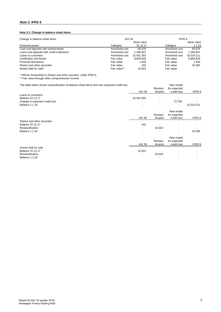## **Note 3. IFRS 9**

## **Note 3.1. Change in balance sheet items**

| Change in balance sheet items               | <b>IAS 39</b>  |            |                | IFRS 9     |  |  |
|---------------------------------------------|----------------|------------|----------------|------------|--|--|
|                                             |                | Book value |                | Book value |  |  |
| Financial assets                            | Category       | 31.12.17   | Category       | 1.1.18     |  |  |
| Cash and deposits with sentral banks        | Amortised cost | 65.976     | Amortised cost | 65.976     |  |  |
| Loans and deposits with credit institutions | Amortised cost | 1.260.947  | Amortised cost | 1,260,947  |  |  |
| Loans to customers                          | Amortised cost | 32.451.553 | Amortised cost | 32.524.311 |  |  |
| Certificates and bonds                      | Fair value     | 8.859.834  | Fair value     | 8.859.834  |  |  |
| <b>Financial derivatives</b>                | Fair value     | 1.935      | Fair value     | 1.935      |  |  |
| Shares and other securities                 | Fair value     | 443        | Fair value     | 33.365     |  |  |
| Assets held for sale*                       | Fair value**   | 32.922     | Fair value     |            |  |  |

\* Will be reclassified to *Shares and other securites* under IFRS 9.

\*\* Fair value through other comprehensive income.

| The table below shows reclassification of balance sheet items and new expected credit loss. |               | Reclass-                 | New model<br>for expected |            |
|---------------------------------------------------------------------------------------------|---------------|--------------------------|---------------------------|------------|
|                                                                                             | <b>IAS 39</b> | ification                | credit loss               | IFRS 9     |
| Loans to customers                                                                          |               |                          |                           |            |
| Balance 31.12.17                                                                            | 32,451,553    |                          |                           |            |
| Change in expected credit loss                                                              |               | $\overline{\phantom{a}}$ | 72,758                    |            |
| <b>Balance 1.1.18</b>                                                                       | -             |                          |                           | 32,524,311 |
|                                                                                             |               |                          | New model                 |            |
|                                                                                             |               | Reclass-                 | for expected              |            |
|                                                                                             | <b>IAS 39</b> | ification                | credit loss               | IFRS 9     |
| Shares and other securities                                                                 |               |                          |                           |            |
| <b>Balance 31.12.17</b>                                                                     | 443           |                          |                           |            |
| Reclassification                                                                            |               | 32,922                   |                           |            |
| <b>Balance 1.1.18</b>                                                                       | -             |                          |                           | 33,365     |
|                                                                                             |               |                          | New model                 |            |
|                                                                                             |               | Reclass-                 | for expected              |            |
|                                                                                             | <b>IAS 39</b> | ification                | credit loss               | IFRS 9     |
| Assets held for sale                                                                        |               |                          |                           |            |
| Balance 31.12.17                                                                            | 32,922        |                          |                           |            |
| Reclassification                                                                            |               | $-32,922$                |                           |            |
| <b>Balance 1.1.18</b>                                                                       |               |                          |                           |            |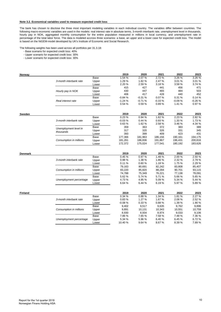#### **Note 3.2. Economical variables used to measure expected credit loss**

The bank has chosen to disclose the three most important modeling variables in each individual country. The variables differ between countries. The following macro-economic variables are used in the models: real interest rate in absolute terms, 3-month interbank rate, unemployment level in thousands, hourly pay in NOK, aggregated monthly consumption for the entire population measured in millions in local currency, and unemployment rate in percentage of the total labor force. The data is modeled accross three scenarios: a base, an upper and a lower case for expected credit loss. The model is based on the NiGEM-model developed by UK's Institute of Economic and Social Research.

The following weights has been used across all portfolios per 31.3.18:

- Base scenario for expected credit loss: 40%
	- Upper scenario for expected credit loss: 30%
	- Lower scenario for expected credit loss: 30%

| Norway         |                         |             | 2019     | 2020     | 2021     | 2022     | 2023     |
|----------------|-------------------------|-------------|----------|----------|----------|----------|----------|
|                |                         | <b>Base</b> | 1.54 %   | 2.07%    | 2.72%    | 3.26 %   | 3.26 %   |
|                | 3-month interbank rate  | Upper       | 1.29%    | 1.82%    | 2.47%    | 3.01 %   | 3.01%    |
|                |                         | Lower       | 2.20 %   | 2.59%    | 3.18%    | 3.58%    | 3.74%    |
|                |                         | Base        | 415      | 427      | 441      | 456      | 471      |
|                | Hourly pay in NOK       | Upper       | 430      | 447      | 465      | 484      | 503      |
|                |                         | Lower       | 406      | 417      | 428      | 440      | 452      |
|                |                         | Base        | $-0.84%$ | $-0.31%$ | 0.07%    | 0.31%    | 0.14%    |
|                | Real interest rate      | Upper       | $-1.24%$ | $-0.71%$ | $-0.33%$ | $-0.09%$ | $-0.26%$ |
|                |                         | Lower       | 0.54%    | 0.59%    | 0.89%    | 1.41 %   | 0.97%    |
|                |                         |             |          |          |          |          |          |
| <b>Sweden</b>  |                         |             | 2019     | 2020     | 2021     | 2022     | 2023     |
|                |                         | <b>Base</b> | 0.23%    | 0.94%    | 1.62%    | 2.23%    | 2.82%    |
|                | 3-month interbank rate  | Upper       | $-0.03%$ | 0.44%    | 0.93%    | 1.33 %   | 1.73%    |
|                |                         | Lower       | 0.63%    | 1.62%    | 2.58%    | 3.46 %   | 4.34 %   |
|                | Unemployment level in   | Base        | 359      | 363      | 372      | 383      | 389      |
|                | thousands               | Upper       | 317      | 320      | 326      | 331      | 345      |
|                |                         | Lower       | 393      | 399      | 409      | 423      | 431      |
|                |                         | Base        | 177,366  | 181,963  | 186,156  | 190,161  | 194,175  |
|                | Consumption in millions | Upper       | 181,261  | 186,836  | 191,867  | 196,431  | 200,816  |
|                |                         | Lower       | 172,372  | 175,024  | 177,541  | 180,192  | 183,626  |
| Denmark        |                         |             | 2019     | 2020     | 2021     | 2022     | 2023     |
|                |                         | Base        | 0.45%    | 0.97%    | 1.48%    | 2.00%    | 2.50%    |
|                | 3-month interbank rate  | Upper       | 0.98%    | 1.38 %   | 1.86 %   | 2.32 %   | 2.79%    |
|                |                         | Lower       | 0.11%    | 0.60%    | 1.18%    | 1.75 %   | 2.29%    |
|                |                         | Base        | 79,163   | 80,691   | 82,242   | 83,808   | 85,407   |
|                | Consumption in millions | Upper       | 83,220   | 85,820   | 88,284   | 90,701   | 93,115   |
|                |                         | Lower       | 74,788   | 75,349   | 76,221   | 77,138   | 78,091   |
|                |                         | Base        | 5.62%    | 5.74 %   | 5.71%    | 5.66%    | 5.65%    |
|                | Unemployment percentage | Upper       | 4.73%    | 4.95%    | 5.09%    | 5.34 %   | 5.44 %   |
|                |                         | Lower       | 6.64%    | 6.44 %   | 6.19%    | 5.97 %   | 5.89%    |
|                |                         |             |          |          |          |          |          |
| <b>Finland</b> |                         |             | 2019     | 2020     | 2021     | 2022     | 2023     |
|                |                         | Base        | 0.34%    | 0.88%    | 1.34 %   | 1.81%    | 2.27 %   |
|                | 3-month interbank rate  | Upper       | 0.83%    | 1.27 %   | 1.67%    | 2.08%    | 2.52%    |
|                |                         | Lower       | $-0.08%$ | 0.33%    | 0.88%    | 1.39 %   | 1.90%    |
|                |                         | Base        | 9,402    | 9,517    | 9,635    | 9,762    | 9,896    |
|                | Consumption in millions | Upper       | 9,891    | 10,131   | 10,343   | 10,551   | 10,759   |
|                |                         | Lower       | 8,930    | 8,934    | 8,974    | 9,033    | 9,106    |
|                |                         | Base        | 7.86%    | 7.65%    | 7.58%    | 7.48%    | 7.36%    |
|                | Unemployment percentage | Upper       | 5.34 %   | 5.96%    | 6.40%    | 6.45%    | 6.72%    |
|                |                         | Lower       | 10.40 %  | 9.64%    | 8.67%    | 8.39 %   | 7.89%    |
|                |                         |             |          |          |          |          |          |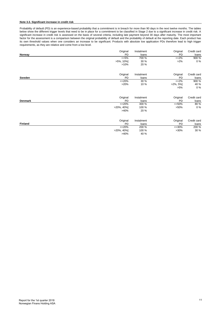#### **Note 3.3. Significant increase in credit risk**

Probability of default (PD) is an experience-based probability that a commitment is in breach for more than 90 days in the next twelve months. The tables below show the different trigger levels that need to be in place for a commitment to be classified in Stage 2 due to a significant increase in credit risk. A significant increase in credit risk is assessed on the basis of several criteria, including late payment beyond 30 days after maturity. The most important factor for the assessment is a comparison between the original probability of default and the probability of default at the reporting date. Each product has its own threshold values when one considers an increase to be significant. Products with absolute low application PDs therefore lead to high trigger requirements, as they are relative and come from a low level.

|                | Original       | Instalment | Original     | Credit card |
|----------------|----------------|------------|--------------|-------------|
| Norway         | PD             | loans      | <b>PD</b>    | loans       |
|                | $<=5\%$        | 700 %      | $<=2\%$      | $900\%$     |
|                | $>5\%$ , 10%]  | 30 %       | $>2\%$       | $0\%$       |
|                | >10%           | 20 %       |              |             |
|                | Original       | Instalment | Original     | Credit card |
| Sweden         | PD             | loans      | <b>PD</b>    | loans       |
|                | $<=20\%$       | 30 %       | $<=2\%$      | 900 %       |
|                | >20%           | 10 %       | $>2\%$ , 5%] | 40 %        |
|                |                |            | $>5\%$       | 0%          |
|                | Original       | Instalment | Original     | Credit card |
| <b>Denmark</b> | <b>PD</b>      | loans      | <b>PD</b>    | loans       |
|                | $<=20\%$       | 300 %      | $<=50\%$     | 80%         |
|                | $>20\%$ , 40%] | 100 %      | $>50\%$      | $0\%$       |
|                | >40%           | 20 %       |              |             |
|                | Original       | Instalment | Original     | Credit card |
| <b>Finland</b> | PD             | loans      | PD           | loans       |
|                | $<=20%$        | 200 %      | $<=30\%$     | 200 %       |
|                | $>20\%$ , 40%  | 100 %      | $>30\%$      | 30 %        |
|                | >40%           | 40 %       |              |             |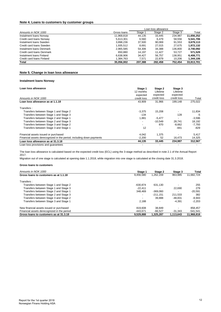## **Note 4. Loans to customers by customer groups**

|                           |             | Loan loss allowance |         |         |            |
|---------------------------|-------------|---------------------|---------|---------|------------|
| Amounts in NOK 1000       | Gross Ioans | Stage 1             | Stage 2 | Stage 3 | Total      |
| Instalment Ioans Norway   | 11.968.818  | 44.135              | 33.445  | 234.987 | 11,656,252 |
| Credit card loans Norway  | 5.613.301   | 6.560               | 6.479   | 58,556  | 5.541.706  |
| Instalment Ioans Sweden   | 3.898.236   | 37.500              | 90.069  | 91,553  | 3,679,113  |
| Credit card loans Sweden  | 1,935,512   | 8.691               | 27.015  | 27.675  | 1,872,132  |
| Instalment Ioans Denmark  | 2.965.585   | 54.306              | 34,388  | 136,800 | 2,740,092  |
| Credit card loans Denmark | 650.880     | 14.197              | 11.427  | 53.727  | 571.529    |
| Instalment Ioans Finland  | 6.638.906   | 34.427              | 56.757  | 138.951 | 6,408,771  |
| Credit card loans Finland | 1.384.763   | 7.571               | 22.879  | 10.206  | 1,344,106  |
| <b>Total</b>              | 35.056.002  | 207.388             | 282.458 | 752.454 | 33,813,701 |

## **Note 5. Change in loan loss allowance**

#### **Instalment loans Norway**

| Loan loss allowance                                                  | Stage 1<br>12 months     | Stage 2<br>Lifetime<br>expected | Stage 3<br>Lifetime<br>expected |          |
|----------------------------------------------------------------------|--------------------------|---------------------------------|---------------------------------|----------|
| Amounts in NOK 1000                                                  | expected<br>credit loss  | credit loss                     | credit loss                     | Total    |
| Loan loss allowance as at 1.1.18                                     | 43.909                   | 31.966                          | 199.148                         | 275,022  |
| Transfers:                                                           |                          |                                 |                                 |          |
| Transfers between Stage 1 and Stage 2                                | $-3,375$                 | 15,208                          |                                 | 11,834   |
| Transfers between Stage 1 and Stage 3                                | $-134$                   |                                 | 128                             | -5       |
| Transfers between Stage 2 and Stage 1                                | 1,881                    | $-5,477$                        |                                 | $-3,596$ |
| Transfers between Stage 2 and Stage 3                                | $\overline{\phantom{a}}$ | $-10,549$                       | 28,741                          | 18,192   |
| Transfers between Stage 3 and Stage 2                                | $\overline{\phantom{a}}$ | 870                             | $-8,662$                        | $-7,793$ |
| Transfers between Stage 3 and Stage 1                                | 12                       | $\overline{\phantom{a}}$        | $-841$                          | $-829$   |
| Financial assets issued or purchased                                 | 4,042                    | 1,375                           |                                 | 5,417    |
| Financial assets derecognized in the period, including down payments | $-2,200$                 | 52                              | 16,473                          | 14,325   |
| Loan loss allowance as at 31.3.18                                    | 44,135                   | 33,445                          | 234,987                         | 312,567  |
| Loan loss provisions and quarantees                                  |                          |                                 |                                 |          |

The loan loss allowance is calculated based on the expected credit loss (ECL) using the 3-stage method as described in note 2.1 of the Annual Report 2017.

Migration out of one stage is calculated at opening date 1.1.2018, while migration into one stage is calculated at the closing date 31.3.2018.

| Amounts in NOK 1000                         | Stage 1                  | Stage 2    | Stage 3   | Total      |
|---------------------------------------------|--------------------------|------------|-----------|------------|
| Gross loans to customers as at 1.1.18       | 9.456.580                | 1.262.159  | 963.985   | 11.682.724 |
| Transfers:                                  |                          |            |           |            |
| Transfers between Stage 1 and Stage 2       | $-630.874$               | 631.130    |           | 255        |
| Transfers between Stage 1 and Stage 3       | $-22.411$                |            | 22.690    | 279        |
| Transfers between Stage 2 and Stage 1       | 348.469                  | $-369.060$ |           | $-20.591$  |
| Transfers between Stage 2 and Stage 3       | $\overline{\phantom{a}}$ | $-211.151$ | 211.533   | 382        |
| Transfers between Stage 3 and Stage 2       | $\overline{\phantom{a}}$ | 39.888     | $-48.831$ | $-8.943$   |
| Transfers between Stage 3 and Stage 1       | 2.188                    |            | $-4.391$  | $-2,203$   |
| New financial assets issued or purchased    | 819.608                  | 38.849     |           | 858,457    |
| Financial assets derecognized in the period | -443.671                 | $-66.527$  | $-31.343$ | $-541,541$ |
| Gross loans to customers as at 31.3.18      | 9,529,888                | 1,325,287  | 1.113.643 | 11,968,818 |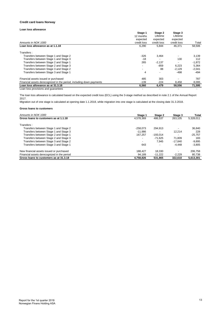### **Credit card loans Norway**

## **Loan loss allowance**

|                                                                      | Stage 1                  | Stage 2     | Stage 3<br>Lifetime<br>expected |          |
|----------------------------------------------------------------------|--------------------------|-------------|---------------------------------|----------|
|                                                                      | 12 months                | Lifetime    |                                 |          |
|                                                                      | expected                 | expected    |                                 |          |
| Amounts in NOK 1000                                                  | credit loss              | credit loss | credit loss                     | Total    |
| Loan loss allowance as at 1.1.18                                     | 6,290                    | 5,844       | 46,371                          | 58,506   |
| Transfers:                                                           |                          |             |                                 |          |
| Transfers between Stage 1 and Stage 2                                | $-326$                   | 3,464       |                                 | 3.139    |
| Transfers between Stage 1 and Stage 3                                | $-18$                    |             | 130                             | 112      |
| Transfers between Stage 2 and Stage 1                                | 265                      | $-2,137$    |                                 | $-1,872$ |
| Transfers between Stage 2 and Stage 3                                | $\overline{\phantom{a}}$ | $-859$      | 6,223                           | 5,364    |
| Transfers between Stage 3 and Stage 2                                | $\overline{\phantom{a}}$ | 88          | $-2,129$                        | $-2,041$ |
| Transfers between Stage 3 and Stage 1                                | 4                        |             | -498                            | $-494$   |
| Financial assets issued or purchased                                 | 485                      | 303         |                                 | 787      |
| Financial assets derecognized in the period, including down payments | $-139$                   | $-224$      | 8,458                           | 8,095    |
| Loan loss allowance as at 31.3.18                                    | 6,560                    | 6,479       | 58,556                          | 71,595   |
| Loan loss provisions and quarantees                                  |                          |             |                                 |          |

The loan loss allowance is calculated based on the expected credit loss (ECL) using the 3-stage method as described in note 2.1 of the Annual Report 2017.

Migration out of one stage is calculated at opening date 1.1.2018, while migration into one stage is calculated at the closing date 31.3.2018.

| Amounts in NOK 1000                         | Stage 1                  | Stage 2                  | Stage 3   | Total     |
|---------------------------------------------|--------------------------|--------------------------|-----------|-----------|
| Gross loans to customers as at 1.1.18       | 4.578.369                | 486.537                  | 263.105   | 5,328,011 |
| Transfers:                                  |                          |                          |           |           |
| Transfers between Stage 1 and Stage 2       | $-258.073$               | 294.913                  |           | 36.840    |
| Transfers between Stage 1 and Stage 3       | $-11.986$                | $\overline{\phantom{0}}$ | 12.214    | 228       |
| Transfers between Stage 2 and Stage 1       | 167.257                  | $-193.014$               |           | $-25,757$ |
| Transfers between Stage 2 and Stage 3       | $\overline{\phantom{a}}$ | $-71.625$                | 71.809    | 183       |
| Transfers between Stage 3 and Stage 2       | $\blacksquare$           | 7.945                    | $-17.840$ | $-9,895$  |
| Transfers between Stage 3 and Stage 1       | 643                      |                          | -4.448    | $-3,805$  |
| New financial assets issued or purchased    | 188.427                  | 18.330                   |           | 206.758   |
| Financial assets derecognized in the period | 94.189                   | $-11.222$                | $-2,229$  | 80,738    |
| Gross loans to customers as at 31.3.18      | 4.758.826                | 531.865                  | 322.610   | 5.613.301 |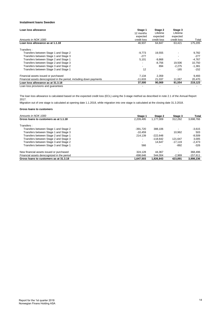## **Instalment loans Sweden**

| Loan loss allowance                                                  | Stage 1<br>12 months     | Stage 2<br>Lifetime | Stage 3<br>Lifetime      |          |
|----------------------------------------------------------------------|--------------------------|---------------------|--------------------------|----------|
|                                                                      | expected                 | expected            | expected                 |          |
| Amounts in NOK 1000                                                  | credit loss              | credit loss         | credit loss              | Total    |
| Loan loss allowance as at 1.1.18                                     | 46,937                   | 64.847              | 63.421                   | 175.205  |
| Transfers:                                                           |                          |                     |                          |          |
| Transfers between Stage 1 and Stage 2                                | $-9,773$                 | 19,555              |                          | 9,782    |
| Transfers between Stage 1 and Stage 3                                | $-277$                   |                     | $\overline{\phantom{0}}$ | $-277$   |
| Transfers between Stage 2 and Stage 1                                | 5,101                    | $-9,868$            |                          | $-4,767$ |
| Transfers between Stage 2 and Stage 3                                | $\overline{\phantom{a}}$ | $-8.756$            | 19.506                   | 10,750   |
| Transfers between Stage 3 and Stage 2                                | -                        | 894                 | $-2.275$                 | $-1,381$ |
| Transfers between Stage 3 and Stage 1                                | 12                       |                     | $-165$                   | $-152$   |
| Financial assets issued or purchased                                 | 7,134                    | 2,359               |                          | 9,493    |
| Financial assets derecognized in the period, including down payments | $-11,633$                | 21,037              | 11,067                   | 20,470   |
| Loan loss allowance as at 31.3.18                                    | 37,500                   | 90,069              | 91,554                   | 219,123  |
| Loan loss provisions and quarantees                                  |                          |                     |                          |          |

The loan loss allowance is calculated based on the expected credit loss (ECL) using the 3-stage method as described in note 2.1 of the Annual Report 2017.

Migration out of one stage is calculated at opening date 1.1.2018, while migration into one stage is calculated at the closing date 31.3.2018.

| Amounts in NOK 1000                         | Stage 1                  | Stage 2    | Stage 3   | Total      |
|---------------------------------------------|--------------------------|------------|-----------|------------|
| Gross loans to customers as at 1.1.18       | 2.209.495                | 1.177.009  | 312.262   | 3,698,766  |
| Transfers:                                  |                          |            |           |            |
| Transfers between Stage 1 and Stage 2       | $-391.720$               | 388.106    |           | $-3,615$   |
| Transfers between Stage 1 and Stage 3       | $-10.459$                |            | 10.962    | 503        |
| Transfers between Stage 2 and Stage 1       | 214.139                  | $-222.648$ |           | $-8,509$   |
| Transfers between Stage 2 and Stage 3       | $\overline{\phantom{a}}$ | $-118.642$ | 121.647   | 3.005      |
| Transfers between Stage 3 and Stage 2       | $\overline{\phantom{a}}$ | 14.647     | $-17.119$ | $-2.473$   |
| Transfers between Stage 3 and Stage 1       | 566                      |            | $-892$    | $-326$     |
| New financial assets issued or purchased    | 324.128                  | 44.367     |           | 368.496    |
| Financial assets derecognized in the period | $-698.646$               | 544.004    | $-2.969$  | $-157,611$ |
| Gross loans to customers as at 31.3.18      | 1.647.503                | 1.826.843  | 423.891   | 3.898.236  |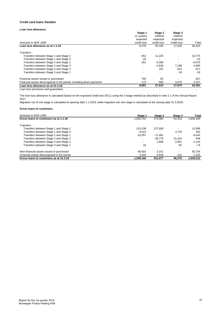### **Credit card loans Sweden**

## **Loan loss allowance**

|                                                                      | Stage 1                  | Stage 2     | Stage 3              |          |
|----------------------------------------------------------------------|--------------------------|-------------|----------------------|----------|
|                                                                      | 12 months                | Lifetime    | Lifetime<br>expected |          |
|                                                                      | expected                 | expected    |                      |          |
| Amounts in NOK 1000                                                  | credit loss              | credit loss | credit loss          | Total    |
| Loan loss allowance as at 1.1.18                                     | 8,279                    | 25,105      | 17,029               | 50,414   |
| Transfers:                                                           |                          |             |                      |          |
| Transfers between Stage 1 and Stage 2                                | $-452$                   | 11,225      |                      | 10,774   |
| Transfers between Stage 1 and Stage 3                                | $-10$                    |             |                      | $-10$    |
| Transfers between Stage 2 and Stage 1                                | 281                      | $-6,356$    |                      | $-6,075$ |
| Transfers between Stage 2 and Stage 3                                | $\overline{\phantom{a}}$ | $-2.639$    | 7,199                | 4,560    |
| Transfers between Stage 3 and Stage 2                                | $\overline{\phantom{a}}$ | 197         | $-614$               | $-417$   |
| Transfers between Stage 3 and Stage 1                                | $\overline{\phantom{0}}$ |             | $-19$                | $-19$    |
| Financial assets issued or purchased                                 | 765                      | 62          |                      | 827      |
| Financial assets derecognized in the period, including down payments | $-173$                   | $-580$      | 4,079                | 3,327    |
| Loan loss allowance as at 31.3.18                                    | 8,691                    | 27,015      | 27,675               | 63,381   |
| Loan loss provisions and quarantees                                  | ۰                        |             |                      |          |

The loan loss allowance is calculated based on the expected credit loss (ECL) using the 3-stage method as described in note 2.1 of the Annual Report 2017.

Migration out of one stage is calculated at opening date 1.1.2018, while migration into one stage is calculated at the closing date 31.3.2018.

| Amounts in NOK 1000                         | Stage 1                  | Stage 2                  | Stage 3  | Total     |
|---------------------------------------------|--------------------------|--------------------------|----------|-----------|
| Gross loans to customers as at 1.1.18       | 1.500.791                | 275.085                  | 64.310   | 1.840.185 |
| Transfers:                                  |                          |                          |          |           |
| Transfers between Stage 1 and Stage 2       | $-115.238$               | 127.928                  |          | 12.689    |
| Transfers between Stage 1 and Stage 3       | $-3.513$                 |                          | 3.715    | 202       |
| Transfers between Stage 2 and Stage 1       | 62.057                   | $-71.481$                |          | $-9.424$  |
| Transfers between Stage 2 and Stage 3       | $\overline{\phantom{a}}$ | $-30.776$                | 31.424   | 649       |
| Transfers between Stage 3 and Stage 2       |                          | 1.808                    | $-2.951$ | $-1.143$  |
| Transfers between Stage 3 and Stage 1       | 18                       | $\overline{\phantom{0}}$ | $-92$    | $-74$     |
| New financial assets issued or purchased    | 90.602                   | 3.151                    |          | 93.754    |
| Financial assets derecognized in the period | 3.444                    | $-4.639$                 | $-131$   | $-1,325$  |
| Gross loans to customers as at 31.3.18      | 1.538.160                | 301.077                  | 96.275   | 1.935.512 |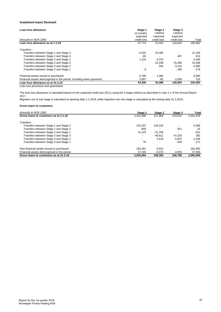## **Instalment loans Denmark**

| Loan loss allowance                                                  | Stage 1<br>12 months<br>expected | Stage 2<br>Lifetime<br>expected | Stage 3<br>Lifetime<br>expected |          |
|----------------------------------------------------------------------|----------------------------------|---------------------------------|---------------------------------|----------|
| Amounts in NOK 1000                                                  | credit loss                      | credit loss                     | credit loss                     | Total    |
| Loan loss allowance as at 1.1.18                                     | 47.774                           | 21.554                          | 116.654                         | 185.982  |
| Transfers :                                                          |                                  |                                 |                                 |          |
| Transfers between Stage 1 and Stage 2                                | $-4,202$                         | 25,385                          |                                 | 21.184   |
| Transfers between Stage 1 and Stage 3                                | -84                              |                                 | 497                             | 413      |
| Transfers between Stage 2 and Stage 1                                | 1,210                            | $-4,376$                        | $\overline{\phantom{a}}$        | $-3,166$ |
| Transfers between Stage 2 and Stage 3                                | -                                | $-10.198$                       | 25,466                          | 15,268   |
| Transfers between Stage 3 and Stage 2                                | $\overline{\phantom{0}}$         | 540                             | $-3,124$                        | $-2,585$ |
| Transfers between Stage 3 and Stage 1                                | 6                                |                                 | $-185$                          | $-179$   |
| Financial assets issued or purchased                                 | 6.795                            | 1.566                           |                                 | 8,360    |
| Financial assets derecognized in the period, including down payments | 2,807                            | $-82$                           | $-2,509$                        | 216      |
| Loan loss allowance as at 31.3.18                                    | 54,306                           | 34,388                          | 136,800                         | 225,493  |
| Loan loss provisions and guarantees                                  |                                  |                                 |                                 |          |

The loan loss allowance is calculated based on the expected credit loss (ECL) using the 3-stage method as described in note 2.1 of the Annual Report 2017.

Migration out of one stage is calculated at opening date 1.1.2018, while migration into one stage is calculated at the closing date 31.3.2018.

| Amounts in NOK 1000                         | Stage 1                  | Stage 2   | Stage 3                  | Total     |
|---------------------------------------------|--------------------------|-----------|--------------------------|-----------|
| Gross loans to customers as at 1.1.18       | 2.314.486                | 127.969   | 219.524                  | 2.661.978 |
| Transfers:                                  |                          |           |                          |           |
| Transfers between Stage 1 and Stage 2       | $-125.037$               | 130.425   | $\overline{\phantom{a}}$ | 5,389     |
| Transfers between Stage 1 and Stage 3       | $-905$                   |           | 921                      | 15        |
| Transfers between Stage 2 and Stage 1       | 31.225                   | $-31.756$ | $\overline{\phantom{a}}$ | $-531$    |
| Transfers between Stage 2 and Stage 3       | $\overline{\phantom{a}}$ | $-46.811$ | 47.203                   | 392       |
| Transfers between Stage 3 and Stage 2       | $\overline{\phantom{0}}$ | 4.518     | $-5.957$                 | $-1.439$  |
| Transfers between Stage 3 and Stage 1       | 79                       |           | $-349$                   | $-271$    |
| New financial assets issued or purchased    | 253.451                  | 9.031     |                          | 262.482   |
| Financial assets derecognized in the period | 47,194                   | $-5,070$  | -4.555                   | 37,569    |
| Gross loans to customers as at 31.3.18      | 2.520.494                | 188.305   | 256.786                  | 2.965.585 |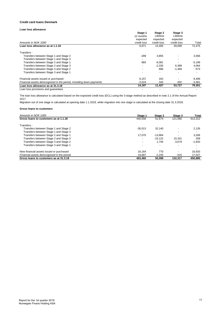### **Credit card loans Denmark**

## **Loan loss allowance**

|                                                                      | Stage 1                  | Stage 2     | Stage 3              |          |
|----------------------------------------------------------------------|--------------------------|-------------|----------------------|----------|
|                                                                      | 12 months                | Lifetime    | Lifetime<br>expected |          |
|                                                                      | expected                 | expected    |                      |          |
| Amounts in NOK 1000                                                  | credit loss              | credit loss | credit loss          | Total    |
| Loan loss allowance as at 1.1.18                                     | 8,971                    | 14.405      | 49,099               | 72,475   |
| Transfers:                                                           |                          |             |                      |          |
| Transfers between Stage 1 and Stage 2                                | $-289$                   | 3,855       |                      | 3,566    |
| Transfers between Stage 1 and Stage 3                                | $\overline{\phantom{0}}$ |             |                      |          |
| Transfers between Stage 2 and Stage 1                                | 883                      | $-6,081$    |                      | $-5,199$ |
| Transfers between Stage 2 and Stage 3                                | $\overline{\phantom{a}}$ | $-2.335$    | 6,399                | 4,064    |
| Transfers between Stage 3 and Stage 2                                | $\overline{\phantom{a}}$ | 896         | $-1.469$             | $-573$   |
| Transfers between Stage 3 and Stage 1                                | $\overline{\phantom{0}}$ |             |                      |          |
| Financial assets issued or purchased                                 | 8,157                    | 342         |                      | 8,499    |
| Financial assets derecognized in the period, including down payments | $-3,524$                 | 345         | $-302$               | $-3,481$ |
| Loan loss allowance as at 31.3.18                                    | 14,197                   | 11,427      | 53,727               | 79,351   |
| Loan loss provisions and quarantees                                  |                          |             |                      |          |

The loan loss allowance is calculated based on the expected credit loss (ECL) using the 3-stage method as described in note 2.1 of the Annual Report 2017.

Migration out of one stage is calculated at opening date 1.1.2018, while migration into one stage is calculated at the closing date 31.3.2018.

| Amounts in NOK 1000                         | Stage 1                  | Stage 2   | Stage 3  | Total    |
|---------------------------------------------|--------------------------|-----------|----------|----------|
| Gross loans to customers as at 1.1.18       | 440.558                  | 51.674    | 121.080  | 613,312  |
| Transfers:                                  |                          |           |          |          |
| Transfers between Stage 1 and Stage 2       | $-30.013$                | 32.140    |          | 2,126    |
| Transfers between Stage 1 and Stage 3       | $\overline{\phantom{a}}$ |           |          |          |
| Transfers between Stage 2 and Stage 1       | 17.070                   | $-13.864$ |          | 3.206    |
| Transfers between Stage 2 and Stage 3       | $\overline{\phantom{a}}$ | $-15.122$ | 15.331   | 209      |
| Transfers between Stage 3 and Stage 2       | $\overline{\phantom{a}}$ | 1.745     | $-3.679$ | $-1,933$ |
| Transfers between Stage 3 and Stage 1       | $\overline{\phantom{0}}$ |           |          |          |
| New financial assets issued or purchased    | 16.164                   | 770       |          | 16.933   |
| Financial assets derecognized in the period | 19.687                   | $-2.245$  | $-415$   | 17,027   |
| Gross loans to customers as at 31.3.18      | 463.465                  | 55.098    | 132.317  | 650.880  |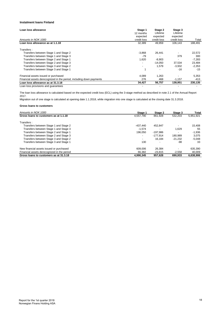## **Instalment loans Finland**

| Loan loss allowance                                                  | Stage 1<br>12 months<br>expected | Stage 2<br>Lifetime<br>expected | Stage 3<br>Lifetime<br>expected |          |
|----------------------------------------------------------------------|----------------------------------|---------------------------------|---------------------------------|----------|
| Amounts in NOK 1000                                                  | credit loss                      | credit loss                     | credit loss                     | Total    |
| Loan loss allowance as at 1.1.18                                     | 32,389                           | 49.959                          | 106,143                         | 188,491  |
| Transfers :                                                          |                                  |                                 |                                 |          |
| Transfers between Stage 1 and Stage 2                                | $-3,868$                         | 26,441                          |                                 | 22,572   |
| Transfers between Stage 1 and Stage 3                                | -79                              |                                 | 379                             | 300      |
| Transfers between Stage 2 and Stage 1                                | 1,620                            | $-8,903$                        |                                 | $-7,283$ |
| Transfers between Stage 2 and Stage 3                                | $\overline{\phantom{a}}$         | $-14.050$                       | 37.534                          | 23,484   |
| Transfers between Stage 3 and Stage 2                                | $\overline{\phantom{a}}$         | 1.579                           | $-3,932$                        | $-2,353$ |
| Transfers between Stage 3 and Stage 1                                |                                  |                                 | $-16$                           | $-15$    |
| Financial assets issued or purchased                                 | 4.089                            | 1,263                           |                                 | 5,353    |
| Financial assets derecognized in the period, including down payments | 276                              | 468                             | $-1,157$                        | $-413$   |
| Loan loss allowance as at 31.3.18                                    | 34,427                           | 56,757                          | 138,951                         | 230,135  |
| Loan loss provisions and guarantees                                  |                                  |                                 |                                 |          |

The loan loss allowance is calculated based on the expected credit loss (ECL) using the 3-stage method as described in note 2.1 of the Annual Report 2017.

Migration out of one stage is calculated at opening date 1.1.2018, while migration into one stage is calculated at the closing date 31.3.2018.

| Amounts in NOK 1000                         | Stage 1                  | Stage 2    | Stage 3   | Total     |
|---------------------------------------------|--------------------------|------------|-----------|-----------|
| Gross loans to customers as at 1.1.18       | 4.557.790                | 861.928    | 532.203   | 5.951.921 |
| Transfers:                                  |                          |            |           |           |
| Transfers between Stage 1 and Stage 2       | $-437.440$               | 452.847    |           | 15.408    |
| Transfers between Stage 1 and Stage 3       | $-1.574$                 |            | 1.629     | 55        |
| Transfers between Stage 2 and Stage 1       | 196.050                  | $-197.986$ |           | $-1.936$  |
| Transfers between Stage 2 and Stage 3       | $\overline{\phantom{a}}$ | $-177.914$ | 180.989   | 3.075     |
| Transfers between Stage 3 and Stage 2       | $\overline{\phantom{a}}$ | 16.184     | $-21.232$ | $-5.048$  |
| Transfers between Stage 3 and Stage 1       | 130                      |            | -98       | 33        |
| New financial assets issued or purchased    | 609.006                  | 26.384     |           | 635,390   |
| Financial assets derecognized in the period | 66.382                   | $-23.815$  | $-2,558$  | 40,009    |
| Gross loans to customers as at 31.3.18      | 4.990.345                | 957.628    | 690.933   | 6.638.906 |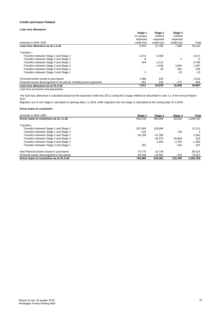### **Credit card loans Finland**

## **Loan loss allowance**

|                                                                      | Stage 1                  | Stage 2     | Stage 3     |          |
|----------------------------------------------------------------------|--------------------------|-------------|-------------|----------|
|                                                                      | 12 months                | Lifetime    | Lifetime    |          |
|                                                                      | expected                 | expected    | expected    |          |
| Amounts in NOK 1000                                                  | credit loss              | credit loss | credit loss | Total    |
| Loan loss allowance as at 1.1.18                                     | 6,919                    | 21.706      | 7,688       | 36,314   |
| Transfers:                                                           |                          |             |             |          |
| Transfers between Stage 1 and Stage 2                                | $-1,072$                 | 5,589       |             | 4,517    |
| Transfers between Stage 1 and Stage 3                                | -8                       |             | 4           | -5       |
| Transfers between Stage 2 and Stage 1                                | 404                      | $-3,113$    |             | $-2,709$ |
| Transfers between Stage 2 and Stage 3                                | $\overline{\phantom{a}}$ | $-1.638$    | 3,095       | 1,457    |
| Transfers between Stage 3 and Stage 2                                | $\overline{\phantom{a}}$ | 45          | $-284$      | $-239$   |
| Transfers between Stage 3 and Stage 1                                | $\overline{2}$           |             | $-25$       | $-23$    |
| Financial assets issued or purchased                                 | 1,488                    | 525         |             | 2,013    |
| Financial assets derecognized in the period, including down payments | $-161$                   | $-235$      | $-272$      | $-669$   |
| Loan loss allowance as at 31.3.18                                    | 7,571                    | 22,879      | 10,206      | 40,657   |
| Loan loss provisions and quarantees                                  |                          |             |             |          |

The loan loss allowance is calculated based on the expected credit loss (ECL) using the 3-stage method as described in note 2.1 of the Annual Report 2017.

Migration out of one stage is calculated at opening date 1.1.2018, while migration into one stage is calculated at the closing date 31.3.2018.

| Amounts in NOK 1000                         | Stage 1                  | Stage 2   | Stage 3  | Total     |
|---------------------------------------------|--------------------------|-----------|----------|-----------|
| Gross loans to customers as at 1.1.18       | 649.139                  | 466.658   | 93.518   | 1,209,315 |
| Transfers:                                  |                          |           |          |           |
| Transfers between Stage 1 and Stage 2       | $-107.693$               | 128.906   |          | 21,213    |
| Transfers between Stage 1 and Stage 3       | $-145$                   |           | 149      | 3         |
| Transfers between Stage 2 and Stage 1       | 45.199                   | $-47.180$ |          | $-1.981$  |
| Transfers between Stage 2 and Stage 3       | $\overline{\phantom{a}}$ | $-34.575$ | 34.808   | 234       |
| Transfers between Stage 3 and Stage 2       | $\blacksquare$           | 2.494     | $-3.794$ | $-1.300$  |
| Transfers between Stage 3 and Stage 1       | 162                      |           | $-410$   | $-247$    |
| New financial assets issued or purchased    | 74.775                   | 10.739    |          | 85.514    |
| Financial assets derecognized in the period | 83.048                   | $-10.561$ | -476     | 72,012    |
| Gross loans to customers as at 31.3.18      | 744.485                  | 516.481   | 123.796  | 1.384.763 |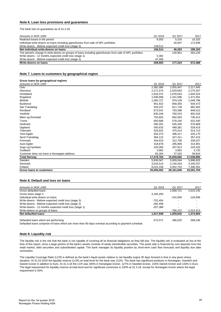## **Note 6. Loan loss provisions and guarantees**

The bank has no guarantees as of 31.3.18.

| Amounts in NOK 1000                                                                                      | Q1 2018 | Q1 2017 | 2017    |
|----------------------------------------------------------------------------------------------------------|---------|---------|---------|
| Realized losses in the period                                                                            | 8.003   | 5.316   | 16.325  |
| Individual write-downs on loans including gains/losses from sale of NPL portfolios                       |         | 40.947  | 172.838 |
| Write-downs - lifetime expected credit loss (stage 3)                                                    | 148.512 |         |         |
| Net individual write-downs on loans                                                                      | 156.514 | 46.263  | 189.163 |
| The period's change in write-downs on groups of loans including gains/losses from sale of NPL portfolios |         | 130.961 | 483.226 |
| Write-downs - 12 months expected credit loss (stage 1)                                                   | 5.382   |         |         |
| Write-downs - lifetime expected credit loss (stage 2)                                                    | 47.006  |         |         |
| Write-downs on loans                                                                                     | 208.903 | 177.224 | 672.388 |

#### **Note 7. Loans to customers by geographical region**

| Gross loans by geographical regions        |            |            |            |
|--------------------------------------------|------------|------------|------------|
| Amounts in NOK 1000                        | Q1 2018    | Q1 2017    | 2017       |
| Oslo                                       | 2,382,086  | 2,055,947  | 2,217,645  |
| Akershus                                   | 2,271,574  | 2,029,563  | 2,275,307  |
| Hordaland                                  | 1.916.372  | 1.678.044  | 1,844,523  |
| Rogaland                                   | 1,506,699  | 1,341,596  | 1,471,591  |
| Østfold                                    | 1,084,727  | 979,109    | 1,049,798  |
| <b>Buskerud</b>                            | 951.822    | 858,350    | 926,473    |
| Sør-Trøndelag                              | 918,237    | 811,728    | 882,450    |
| Nordland                                   | 873,541    | 793,398    | 849,312    |
| Vestfold                                   | 830,246    | 760,524    | 802,016    |
| Møre og Romsdal                            | 755,603    | 682,063    | 736,414    |
| Troms                                      | 650,686    | 578.240    | 631,545    |
| <b>Hedmark</b>                             | 590,291    | 545,345    | 576,889    |
| Oppland                                    | 545,633    | 499,381    | 529,419    |
| Telemark                                   | 525,642    | 475,514    | 514,713    |
| Vest-Agder                                 | 454.373    | 396,417    | 435,170    |
| Nord-Trøndelag                             | 364,122    | 327,411    | 357,415    |
| Finnmark                                   | 344,910    | 312,709    | 339,327    |
| Aust-Agder                                 | 318.878    | 285,806    | 314,901    |
| Sogn og Fjordane                           | 225,095    | 207,913    | 220,432    |
| Svalbard                                   | 3,962      | 3,081      | 3,725      |
| Customer does not have a Norwegian address | 65,264     | 37,526     | 59,824     |
| <b>Total Norway</b>                        | 17,579,764 | 15,659,666 | 17,038,890 |
| Sweden                                     | 5,836,567  | 5,809,084  | 5,898,925  |
| Denmark                                    | 3,616,514  | 2,140,343  | 3,345,537  |
| Finland                                    | 8,023,156  | 4,552,753  | 7,308,352  |
| Gross loans to customers                   | 35,056,002 | 28,161,846 | 33,591,704 |

#### **Note 8. Default and loss on loans**

| Amounts in NOK 1000                                    | Q1 2018    | Q1 2017    | 2017         |
|--------------------------------------------------------|------------|------------|--------------|
|                                                        |            |            |              |
| Gross defaulted loans                                  |            | 2.068.721  | 2,615,145    |
| Gross loans stage 3                                    | 3,160,250  |            |              |
| Individual write-downs on loans                        |            | $-242.656$ | $-126.838$   |
| Write-downs - lifetime expected credit loss (stage 3)  | $-752.454$ |            |              |
| Write-downs - lifetime expected credit loss (stage 2)  | $-282.458$ |            |              |
| Write-downs - 12 months expected credit loss (stage 1) | $-207.388$ |            |              |
| Write-downs on groups of loans                         |            | -766.222   | $-1,013,313$ |
| <b>Net defaulted loans</b>                             | 1,917,949  | 1,059,842  | 1,474,994    |
|                                                        |            |            |              |
| Defaulted loans which are performing                   | 673.571    | 496.025    | 569.246      |
|                                                        |            |            |              |

Defaulted loans comprise of loans which are more than 90 days overdue according to payment schedule.

#### **Note 9. Liquidity risk**

The liquidity risk is the risk that the bank is not capable of covering all its financial obligations as they fall due. The liquidity risk is evaluated as low at the time of this report, since a large portion of the bank's assets consists of easily transferable securities. The asset side is financed by core deposits from the retail market, debt securities and subordinated capital. The bank manages its liquidity position by short-term cash flow forecasts and liquidity due date summaries.

The Liquidity Coverage Ratio (LCR) is defined as the bank's liquid assets relative to net liquidity output 30 days forward in time in any given stress situation. At 31.03.2018 the liquidity reserve (LCR) on total level for the bank was 212%. The bank has significant positions in Norwegian, Swedish and Danish kroner in addition to Euro. At 31.3.18 the LCR was 345% in Norwegian kroner, 127% in Swedish kroner, 216% Danish kroner and 143% in Euro. The legal requirement for liquidity reserve at total level and for significant currencies is 100% at 31.3.18, except for Norwegian kroner where the legal requirement is 50%.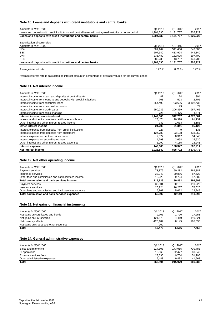## **Note 10. Loans and deposits with credit institutions and central banks**

| Amounts in NOK 1000                                                                                    | Q1 2018   | Q1 2017   | 2017      |
|--------------------------------------------------------------------------------------------------------|-----------|-----------|-----------|
| Loans and deposits with credit institutions and central banks without agreed maturity or notice period | 1.904.530 | 1,131,757 | 1,326,922 |
| Loans and deposits with credit institutions and central banks                                          | 1.904.530 | 1.131.757 | 1,326,922 |
|                                                                                                        |           |           |           |
| Specification of currencies                                                                            |           |           |           |
| Amounts in NOK 1000                                                                                    | Q1 2018   | Q1 2017   | 2017      |
| <b>NOK</b>                                                                                             | 881.162   | 541.450   | 542.600   |
| <b>SEK</b>                                                                                             | 507.640   | 413.924   | 444.840   |
| <b>DKK</b>                                                                                             | 235.489   | 132.595   | 197.700   |
| <b>EUR</b>                                                                                             | 280.239   | 43.787    | 141,782   |
| Loans and deposits with credit institutions and central banks                                          | 1,904,530 | 1,131,757 | 1,326,922 |
| Average interest rate                                                                                  | $0.22 \%$ | 0.21%     | $0.22 \%$ |

Average interest rate is calculated as interest amount in percentage of average volume for the current period.

## **Note 11. Net interest income**

| Amounts in NOK 1000                                                 | Q1 2018   | Q1 2017 | 2017      |
|---------------------------------------------------------------------|-----------|---------|-----------|
| Interest income from cash and deposits at central banks             | 87        | 74      | 304       |
| Interest income from loans to and deposits with credit institutions | 761       | 523     | 2.705     |
| Interest income from consumer loans                                 | 854,490   | 703.696 | 3,102,438 |
| Interest income from overdraft accounts                             |           | 79      | 79        |
| Interest income from credit cards                                   | 290.936   | 206.859 | 967,465   |
| Interest income from sales financing                                | 726       | 1,476   | 4,571     |
| Interest income, amortised cost                                     | 1,147,000 | 912,707 | 4,077,561 |
| Interest and other income from certificates and bonds               | 23,474    | 20,328  | 91,939    |
| Other interest and other interest related income                    | 732       | 1.013   | 3,183     |
| Other interest income                                               | 24,206    | 21,341  | 95,122    |
| Interest expense from deposits from credit institutions             | 227       | 9       | 135       |
| Interest expense from deposits from customers                       | 124.780   | 93.138  | 433,959   |
| Interest expense on debt securities issued                          | 7.577     | 8.317   | 34,346    |
| Interest expense on subordinated loan                               | 4.793     | 2.698   | 15,530    |
| Other interest and other interest related expenses                  | 5,290     | 4,185   | 18,241    |
| Interest expense                                                    | 142,666   | 108,347 | 502,211   |
| Net interest income                                                 | 1,028,540 | 825.702 | 3,670,472 |

## **Note 12. Net other operating income**

| Total commission and bank services expenses         | 65.992  | 42.149  | 211,092 |
|-----------------------------------------------------|---------|---------|---------|
| Other fees and commission and bank services expense | 6.867   | 5.672   | 22.249  |
| Insurance services                                  | 25.224  | 16.287  | 78.620  |
| Payment services                                    | 33.901  | 20.191  | 110.223 |
| Total commission and bank services income           | 119.839 | 80.892  | 399,998 |
| Other fees and commission and bank services income  | 13.220  | 9.724   | 47,589  |
| Insurance services                                  | 33.243  | 20.886  | 87.522  |
| Payment services                                    | 73.376  | 50.282  | 264.887 |
| Amounts in NOK 1000                                 | Q1 2018 | Q1 2017 | 2017    |

## **Note 13. Net gains on financial instruments**

| Amounts in NOK 1000                      | Q1 2018    | Q1 2017                  | 2017       |
|------------------------------------------|------------|--------------------------|------------|
| Net gains on certificates and bonds      | $-9.705$   | 1.790                    | $-17.251$  |
| Net gains on FX-forwards                 | 121.679    | $-4.419$                 | $-140.821$ |
| Net currency effects                     | $-125.189$ | 8.145                    | 165.530    |
| Net gains on shares and other securities | $-260$     | $\overline{\phantom{a}}$ |            |
| Total                                    | $-13.476$  | 5.516                    | 7.458      |

## **Note 14. General administrative expenses**

| Amounts in NOK 1000           | Q1 2018 | Q1 2017 | 2017    |
|-------------------------------|---------|---------|---------|
| Sales and marketing           | 214.808 | 173.965 | 730.783 |
| IT operations                 | 18.968  | 22.477  | 81.940  |
| External services fees        | 23,630  | 9.704   | 51,995  |
| Other administrative expenses | 9.488   | 9.833   | 41.568  |
| Total                         | 266.894 | 215.979 | 906.286 |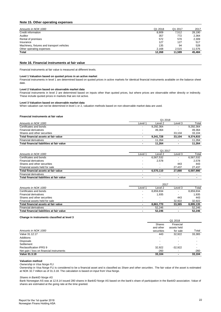## **Note 15. Other operating expenses**

| Amounts in NOK 1000                        | Q1 2018 | Q1 2017 | 2017   |
|--------------------------------------------|---------|---------|--------|
| Credit information                         | 8,909   | 7.512   | 28,190 |
| Auditor                                    | 357     | 772     | 2,364  |
| Rental of premises                         | 572     | 570     | 2,309  |
| Insurance                                  | 127     | 127     | 517    |
| Machinery, fixtures and transport vehicles | 135     | 94      | 528    |
| Other operating expenses                   | 2,168   | 2.515   | 11.576 |
| <b>Total</b>                               | 12.268  | 11.589  | 45.484 |
|                                            |         |         |        |

## **Note 16. Financial instruments at fair value**

Financial instruments at fair value is measured at different levels.

#### **Level 1 Valuation based on quoted prices in an active market**

Financial instruments in level 1 are determined based on quoted prices in active markets for identical financial instruments available on the balance sheet date.

#### **Level 2 Valuation based on observable market data**

Financial instruments in level 2 are determined based on inputs other than quoted prices, but where prices are observable either directly or indirectly. These include quoted prices in markets that are not active.

#### **Level 3 Valuation based on observable market data**

When valuation can not be determined in level 1 or 2, valuation methods based on non-observable market data are used.

#### **Financial instruments at fair value**

|                                           | Q1 2018                  |           |         |           |  |
|-------------------------------------------|--------------------------|-----------|---------|-----------|--|
| Amounts in NOK 1000                       | Level <sup>1</sup>       | Level 2   | Level 3 | Total     |  |
| Certificates and bonds                    | $\overline{\phantom{a}}$ | 9,292,364 |         | 9,292,364 |  |
| <b>Financial derivatives</b>              | $\overline{\phantom{a}}$ | 49.364    |         | 49.364    |  |
| Shares and other securities               |                          |           | 33.104  | 33.104    |  |
| Total financial assets at fair value      |                          | 9.341.728 | 33.104  | 9,374,833 |  |
| <b>Financial derivatives</b>              |                          | 11.264    |         | 11.264    |  |
| Total financial liabilities at fair value |                          | 11.264    |         | 11.264    |  |

|                                           | Q1 2017                  |                          |                          |           |
|-------------------------------------------|--------------------------|--------------------------|--------------------------|-----------|
| Amounts in NOK 1000                       | Level 1                  | Level 2                  | Level 3                  | Total     |
| Certificates and bonds                    |                          | 6,567,532                | $\overline{\phantom{0}}$ | 6,567,532 |
| <b>Financial derivatives</b>              | $\overline{\phantom{a}}$ | 2.578                    | $\overline{\phantom{a}}$ | 2.578     |
| Shares and other securities               |                          |                          | 443                      | 443       |
| Financial assets held for sale            | $\overline{\phantom{a}}$ | $\overline{\phantom{a}}$ | 27.437                   | 27.437    |
| Total financial assets at fair value      |                          | 6.570.110                | 27.880                   | 6.597.990 |
| <b>Financial derivatives</b>              |                          |                          | $\overline{\phantom{0}}$ |           |
| Total financial liabilities at fair value | $\overline{\phantom{a}}$ |                          |                          |           |

|                                           | 2017                     |                          |         |           |
|-------------------------------------------|--------------------------|--------------------------|---------|-----------|
| Amounts in NOK 1000                       | Level 1                  | Level 2                  | Level 3 | Total     |
| Certificates and bonds                    | -                        | 8,859,834                |         | 8,859,834 |
| <b>Financial derivatives</b>              | -                        | 1,935                    |         | 1.935     |
| Shares and other securities               | $\overline{\phantom{a}}$ |                          | 443     | 443       |
| Financial assets held for sale            | -                        | $\overline{\phantom{a}}$ | 32.922  | 32.922    |
| Total financial assets at fair value      | ٠                        | 8.861.770                | 33.365  | 8,895,135 |
| <b>Financial derivatives</b>              |                          | 52.246                   |         | 52,246    |
| Total financial liabilities at fair value |                          | 52.246                   |         | 52.246    |

#### **Change in instruments classified at level 3**

| Shares                   | Financial                |         |
|--------------------------|--------------------------|---------|
| and other                | assets held              |         |
| securities               | for sale                 | Total   |
| 443                      | 32,922                   | 33,365  |
|                          |                          |         |
| $\overline{\phantom{a}}$ | $\overline{\phantom{0}}$ |         |
| $\overline{\phantom{a}}$ |                          |         |
| 32,922                   | $-32,922$                |         |
| $-260$                   |                          | $-260$  |
| 33,104                   | ۰                        | 33,104  |
|                          |                          | Q1 2018 |

#### **Valuation method**

*Ownership in Visa Norge FLI*

Ownership in Visa Norge FLI is considered to be a financial asset and is classified as *Share and other securities* . The fair value of the asset is estimated at NOK 32.7 million as of 31.3.18. The calculation is based on input from Visa Norge.

#### *Shares in BankID Norge AS*

Bank Norwegian AS was at 12.8.14 issued 280 shares in BankID Norge AS based on the bank's share of participation in the BankID association. Value of shares are estimated at the going rate at the time granted.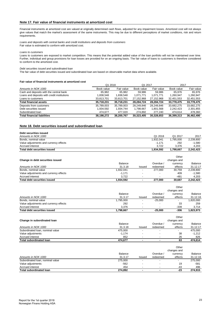## **Note 17. Fair value of financial instruments at amortized cost**

Financial instruments at amortized cost are valued at originally determined cash flows, adjusted for any impairment losses. Amortized cost will not always give values that match the market's assessment of the same instruments. This may be due to different perceptions of market conditions, risk and return requirements.

*Loans and deposits with central banks and credit institutions and deposits from customers* Fair value is estimated to conform with amortized cost.

*Loans to customers*

Loans to customers are exposed to market competition. This means that the potential added value of the loan portfolio will not be maintained over time. Further, individual and group provisions for loan losses are provided for on an ongoing basis. The fair value of loans to customers is therefore considered to conform to the amortized cost.

*Debt securities issued and subordinated loan*

The fair value of debt securities issued and subordinated loan are based on observable market data where available.

#### **Fair value of financial instruments at amortized cost**

|                                             | Q1 2018    |            | Q1 2017    |            | 2017       |            |
|---------------------------------------------|------------|------------|------------|------------|------------|------------|
| Amounts in NOK 1000                         | Book value | Fair value | Book value | Fair value | Book value | Fair value |
| Cash and deposits with the central bank     | 65,982     | 65.982     | 59.986     | 59.986     | 65.976     | 65.976     |
| Loans and deposits with credit institutions | 1.838.548  | 1.838.548  | 1.071.771  | 1.071.771  | 1.260.947  | 1.260.947  |
| Loans to customers                          | 33,813,701 | 33,813,701 | 27,152,968 | 27,152,968 | 32,451,553 | 32,451,553 |
| <b>Total financial assets</b>               | 35.718.231 | 35,718,231 | 28.284.724 | 28,284,724 | 33.778.475 | 33,778,475 |
| Deposits from customers                     | 35,789,003 | 35,789,003 | 28.249.846 | 28.249.846 | 33.682.275 | 33,682,275 |
| Debt securities issued                      | 1.934.592  | 1.934.744  | 1.798.667  | 1.801.568  | 2.242.423  | 2,301,855  |
| Subordinated loan                           | 474.677    | 477.020    | 274.892    | 277.240    | 474.614    | 478,360    |
| <b>Total financial liabilities</b>          | 38.198.272 | 38.200.767 | 30.323.405 | 30.328.653 | 36.399.313 | 36.462.490 |

### **Note 18. Debt securities issued and subordinated loan**

| Debt securities issued                 |           |        |           |             |                |
|----------------------------------------|-----------|--------|-----------|-------------|----------------|
| Amounts in NOK 1000                    |           |        | Q1 2018   | Q1 2017     | 2017           |
| Bonds, nominal value                   |           |        | 1,932,041 | 1.795.000   | 2,239,800      |
| Value adjustments and currency effects |           |        | $-1.171$  | 292         | $-1.580$       |
| Accrued interest                       |           |        | 3,722     | 3,376       | 4,203          |
| <b>Total debt securities issued</b>    |           |        | 1,934,592 | 1,798,667   | 2,242,423      |
|                                        |           |        |           | Other       |                |
| Change in debt securities issued       |           |        |           | changes and |                |
|                                        | Balance   |        | Overdue / | currency    | <b>Balance</b> |
| Amounts in NOK 1000                    | 31.3.18   | Issued | redeemed  | effects     | 31.12.17       |
| Bonds, nominal value                   | 1,932,041 | -      | 277.000   | 30.759      | 2,239,800      |
| Value adjustments and currency effects | $-1.171$  | ٠      |           | 409         | $-1.580$       |
| Accrued interest                       | 3,722     |        |           | $-481$      | 4,203          |
| <b>Total debt securities issued</b>    | 1,934,592 | ۰      | 277.000   | 30.687      | 2,242,423      |

|                                        |                |                          |                          | Other       |          |
|----------------------------------------|----------------|--------------------------|--------------------------|-------------|----------|
|                                        |                |                          |                          | changes and |          |
|                                        | <b>Balance</b> |                          | Overdue /                | currency    | Balance  |
| Amounts in NOK 1000                    | 31.3.17        | <b>Issued</b>            | redeemed                 | effects     | 31.12.16 |
| Bonds, nominal value                   | 1,795,000      | -                        | $-25.000$                |             | 820,000  |
| Value adjustments and currency effects | 292            | -                        |                          | 33          | 259      |
| Accrued interest                       | 3.376          | $\overline{\phantom{a}}$ | $\overline{\phantom{0}}$ | $-339$      | 3.714    |
| Total debt securities issued           | 1.798.667      | ۰                        | $-25.000$                | -306        | 823,973. |

| Change in subordinated loan      |          |                          |                          | Other<br>changes and |          |
|----------------------------------|----------|--------------------------|--------------------------|----------------------|----------|
|                                  | Balance  |                          | Overdue /                | currency             | Balance  |
| Amounts in NOK 1000              | 31.3.18  | Issued                   | redeemed                 | effects              | 31.12.17 |
| Subordinated Ioan, nominal value | 475.000  | -                        | $\overline{\phantom{0}}$ |                      | 475.000  |
| Value adjustments                | $-1.174$ | -                        | $\overline{\phantom{0}}$ | 38                   | $-1.212$ |
| Accrued interest                 | 852      | -                        | $\overline{\phantom{a}}$ | 26                   | 826      |
| <b>Total subordinated loan</b>   | 474.677  | $\overline{\phantom{a}}$ | ۰                        | 63                   | 474.614  |

|                                  |                |               |                          | Other<br>changes and |          |
|----------------------------------|----------------|---------------|--------------------------|----------------------|----------|
|                                  | <b>Balance</b> |               | Overdue /                | currency             | Balance  |
| Amounts in NOK 1000              | 31.3.17        | <b>Issued</b> | redeemed                 | effects              | 31.12.16 |
| Subordinated Ioan, nominal value | 275,000        | -             |                          |                      | 275.000  |
| Value adjustments                | $-562$         | -             |                          | 19                   | $-581$   |
| Accrued interest                 | 454            | -             |                          | $-43$                | 496      |
| <b>Total subordinated loan</b>   | 274.892        |               | $\overline{\phantom{a}}$ | $-23$                | 274.915  |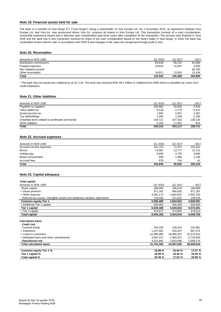## **Note 19. Financial assets held for sale**

The bank is a member of Visa Norge FLI ("Visa Norge"), being a shareholder of Visa Europe Ltd. On 2 November 2015, an agreement between Visa Europe Ltd. and Visa Inc. was announced where Visa Inc. acquires all shares in Visa Europe Ltd. This transaction consists of a cash consideration, convertible preference shares and a deferred cash consideration paid three years after completion of the transaction. The process was finalized in June 2016 and the bank has in this connection received its share of the cash consideration based on the bank's stake in Visa Norge. In 2018, the bank has reclassified *Assets held for sale* in accordance with IFRS 9 and changes in fair value are recognized through profit or loss.

#### **Note 20. Receivables**

| Amounts in NOK 1000      | Q1 2018 | Q1 2017 | 2017    |
|--------------------------|---------|---------|---------|
| Distribution commissions | 93,839  | 88,152  | 92,866  |
| Prepaid expenses         | 29,823  | 24.397  | 4.800   |
| Net collateral issued*   |         |         | 84.700  |
| Other receivables        | 19.871  | 13.920  | 12.434  |
| <b>Total</b>             | 143.533 | 126.469 | 194,800 |

\* The bank has not issued any collateral as at 31.3.18. The bank has received NOK 99.2 million in collateral from DNB which is classified as *Loans from credit institutions.*

#### **Note 21. Other liabilities**

| Amounts in NOK 1000                               | Q1 2018 | Q1 2017 | 2017    |
|---------------------------------------------------|---------|---------|---------|
| Payables to suppliers                             | 180.960 | 62.659  | 6.545   |
| Value added tax                                   | 8.149   | 2.770   | 8.412   |
| Social security tax                               | 1.862   | 1.507   | 2.467   |
| Tax withholdings                                  | 1.565   | 1.248   | 2.335   |
| Unsettled items related to certificates and bonds | 144.721 | 167.332 | 138,135 |
| Other liabilities                                 | 5.054   | 17.602  | 816     |
| <b>Total</b>                                      | 342.312 | 253.117 | 158.711 |

#### **Note 22. Accrued expenses**

| Amounts in NOK 1000      | Q1 2018 | Q1 2017 | 2017    |
|--------------------------|---------|---------|---------|
| Accrued not due expenses | 131.723 | 71.872  | 132.331 |
| <b>Bonus</b>             | 15,981  | 13.777  | 12,131  |
| Holiday pay              | 5,693   | 4.720   | 4.566   |
| Board remuneration       | 558     | 1.488   | 1.146   |
| Accrued fees             | 879     | 234     | 41      |
| <b>Total</b>             | 154.835 | 92.092  | 150.215 |

#### **Note 23. Capital adequacy**

| <b>Total capital</b>                                                         |            |            |            |
|------------------------------------------------------------------------------|------------|------------|------------|
| Amounts in NOK 1000                                                          | Q1 2018    | Q1 2017    | 2017       |
| Share capital                                                                | 186,689    | 186,619    | 186,689    |
| + Share premium                                                              | 971,182    | 966,825    | 971,182    |
| + Other reserves                                                             | 4,381,173  | 2,662,831  | 3,920,750  |
| - Deferred tax assets, intangible assets and additional valuation adjustment | 143,555    | 121,622    | 139,529    |
| <b>Common equity Tier 1</b>                                                  | 5,395,489  | 3,694,652  | 4,939,091  |
| + Additional Tier 1 capital                                                  | 635,000    | 335,000    | 635,000    |
| Tier 1 capital                                                               | 6,030,489  | 4,029,652  | 5,574,091  |
| + Tier 2 capital                                                             | 474,677    | 274,892    | 474,614    |
| <b>Total capital</b>                                                         | 6,505,166  | 4,304,544  | 6,048,706  |
| <b>Calculation basis</b><br><b>Credit risk</b>                               |            |            |            |
| Covered bonds                                                                | 244,438    | 138,014    | 232,981    |
| + Institutions                                                               | 1,107,902  | 818,357    | 907,574    |
| + Loans to customers                                                         | 22,990,088 | 18,995,307 | 22,472,413 |
| + Defaulted loans and other commitments                                      | 3,387,072  | 1,982,872  | 2,719,400  |
| <b>Operational risk</b>                                                      | 4,022,891  | 2,633,086  | 2,608,276  |
| <b>Total calculation basis</b>                                               | 31,752,392 | 24,567,636 | 28,940,644 |
|                                                                              |            |            |            |
| Common equity Tier 1 %                                                       | 16.99%     | 15.04 %    | 17.07 %    |
| Tier 1 capital %                                                             | 18.99 %    | 16.40 %    | 19.26 %    |
| Total capital %                                                              | 20.49 %    | 17.52 %    | 20.90 %    |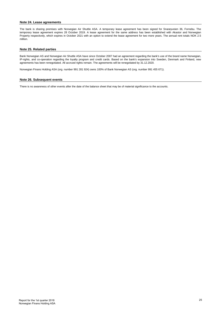#### **Note 24. Lease agreements**

The bank is sharing premises with Norwegian Air Shuttle ASA. A temporary lease agreement has been signed for Snarøyveien 36, Fornebu. The temporary lease agreement expires 28 October 2019. A lease agreement for the same address has been established with Akastor and Norwegian Property respectively, which expires in October 2021 with an option to extend the lease agreement for two more years. The annual rent totals NOK 2.5 million.

#### **Note 25. Related parties**

Bank Norwegian AS and Norwegian Air Shuttle ASA have since October 2007 had an agreement regarding the bank's use of the brand name Norwegian, IP-rights, and co-operation regarding the loyalty program and credit cards. Based on the bank's expansion into Sweden, Denmark and Finland, new agreements has been renegotiated. All accrued rights remain. The agreements will be renegotiated by 31.12.2020.

Norwegian Finans Holding ASA (org. number 991 281 924) owns 100% of Bank Norwegian AS (org. number 991 455 671).

#### **Note 26. Subsequent events**

There is no awareness of other events after the date of the balance sheet that may be of material significance to the accounts.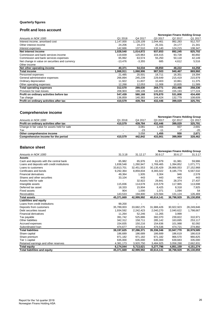## **Quarterly figures**

## **Profit and loss account**

|                                                |           |           |           | Norwegian Finans Holding Group |         |
|------------------------------------------------|-----------|-----------|-----------|--------------------------------|---------|
| Amounts in NOK 1000                            | Q1 2018   | Q4 2017   | Q3 2017   | Q <sub>2</sub> 2017            | Q1 2017 |
| Interest income, amortised cost                | 1,147,000 | 1,128,109 | 1,044,461 | 992,283                        | 912,707 |
| Other interest income                          | 24,206    | 24,272    | 25,331    | 24,177                         | 21,341  |
| Interest expenses                              | 142,666   | 137,510   | 132,140   | 124,215                        | 108,347 |
| Net interest income                            | 1,028,540 | 1,014,872 | 937,653   | 892,245                        | 825,702 |
| Commission and bank services income            | 119,839   | 120,963   | 104,415   | 93,728                         | 80,892  |
| Commission and bank services expenses          | 65,992    | 63,574    | 55,250    | 50,118                         | 42,149  |
| Net change in value on securities and currency | $-13,476$ | $-3,355$  | 685       | 4,612                          | 5,516   |
| Other income                                   |           |           |           |                                |         |
| Net other operating income                     | 40,371    | 54,034    | 49,850    | 48,222                         | 44,258  |
| <b>Total income</b>                            | 1,068,911 | 1,068,906 | 987,503   | 940,467                        | 869,960 |
| Personnel expenses                             | 21,485    | 20,501    | 18.711    | 16,351                         | 19,394  |
| General administrative expenses                | 266,894   | 245,239   | 229,649   | 215,419                        | 215,979 |
| Ordinary depreciation                          | 11,922    | 11,837    | 10,403    | 10,861                         | 11,375  |
| Other operating expenses                       | 12,268    | 12,053    | 11,008    | 10,835                         | 11,589  |
| <b>Total operating expenses</b>                | 312,570   | 289,630   | 269,771   | 253,466                        | 258,336 |
| Provision for loan losses                      | 208,903   | 199,109   | 140,862   | 155,193                        | 177,224 |
| Profit on ordinary activities before tax       | 547,439   | 580,168   | 576,870   | 531,808                        | 434,400 |
| Tax charge                                     | 136,859   | 140,383   | 144,424   | 132,779                        | 108,609 |
| Profit on ordinary activities after tax        | 410.579   | 439,784   | 432,446   | 399,029                        | 325,791 |

# **Comprehensive income**

| Q1 2018                  | Q4 2017 | Q3 2017 | Q <sub>2</sub> 2017 | Q1 2017                        |
|--------------------------|---------|---------|---------------------|--------------------------------|
| 410.579                  | 439.784 | 432.446 | 399.029             | 325,791                        |
| $\overline{\phantom{0}}$ | 3.081   | 1.466   | 937                 | 2.691                          |
| $\overline{\phantom{0}}$ | $-23$   | $-11$   | - 1                 | $-20$                          |
|                          | 3.058   | 1.455   | 930                 | 2,671                          |
| 410.579                  | 442.842 | 433.901 | 399.959             | 328,462                        |
|                          |         |         |                     | Norwegian Finans Holding Group |

## **Balance sheet**

|                                             |            |            |            | Norwegian Finans Holding Group |            |
|---------------------------------------------|------------|------------|------------|--------------------------------|------------|
| Amounts in NOK 1000                         | 31.3.18    | 31.12.17   | 30.9.17    | 30.6.17                        | 31.3.17    |
| <b>Assets</b>                               |            |            |            |                                |            |
| Cash and deposits with the central bank     | 65,982     | 65,976     | 61,979     | 61,981                         | 59,986     |
| Loans and deposits with credit institutions | 1,838,548  | 1,260,947  | 1,769,465  | 1,394,852                      | 1,071,771  |
| Loans to customers                          | 33,813,701 | 32,451,553 | 30,135,429 | 28,868,053                     | 27,152,968 |
| Certificates and bonds                      | 9,292,364  | 8,859,834  | 8,365,022  | 8,185,779                      | 6,567,532  |
| <b>Financial derivatives</b>                | 49,364     | 1,935      | 3,304      | 946                            | 2,578      |
| Shares and other securities                 | 33,104     | 443        | 443        | 443                            | 443        |
| Assets held for sale                        |            | 32,922     | 29,841     | 28,374                         | 27,437     |
| Intangible assets                           | 115,836    | 114,678    | 115,579    | 117,965                        | 113,698    |
| Deferred tax asset                          | 18,333     | 15,904     | 8,425      | 8,318                          | 7,925      |
| <b>Fixed assets</b>                         | 904        | 1,000      | 1,071      | 1,094                          | 54         |
| Receivables                                 | 143,533    | 194,800    | 123,584    | 131,124                        | 126,469    |
| <b>Total assets</b>                         | 45,371,669 | 42,999,992 | 40,614,141 | 38,798,929                     | 35,130,859 |
| <b>Liabilities and equity</b>               |            |            |            |                                |            |
| Loans from credit institutions              | 99,200     |            |            |                                |            |
| Deposits from customers                     | 35,789,003 | 33,682,275 | 31,988,426 | 30,922,923                     | 28,249,846 |
| Debt securities issued                      | 1,934,592  | 2,242,423  | 2,040,270  | 2,040,622                      | 1,798,667  |
| <b>Financial derivatives</b>                | 11,264     | 52,246     | 11,265     | 3,999                          |            |
| Tax payable                                 | 391,742    | 525,886    | 382,070    | 239,822                        | 310,971    |
| Other liabilities                           | 342,312    | 158,711    | 285,142    | 163,695                        | 253,117    |
| Accrued expenses                            | 154,835    | 150,216    | 154,636    | 101,988                        | 92,092     |
| Subordinated loan                           | 474,677    | 474,614    | 474,536    | 474,721                        | 274,892    |
| <b>Total liabilities</b>                    | 39,197,625 | 37,286,371 | 35,336,346 | 33,947,770                     | 30,979,585 |
| Share capital                               | 186,689    | 186,689    | 186,689    | 186,619                        | 186,619    |
| Share premium                               | 971,182    | 971,182    | 971,182    | 966,570                        | 966,825    |
| Tier 1 capital                              | 635,000    | 635,000    | 635,000    | 639,683                        | 335,000    |
| Retained earnings and other reserves        | 4,381,173  | 3,920,750  | 3,484,925  | 3,058,288                      | 2,662,831  |
| <b>Total equity</b>                         | 6,174,044  | 5,713,621  | 5,277,796  | 4,851,159                      | 4,151,274  |
| <b>Total liabilities and equity</b>         | 45,371,669 | 42,999,992 | 40,614,141 | 38,798,929                     | 35,130,859 |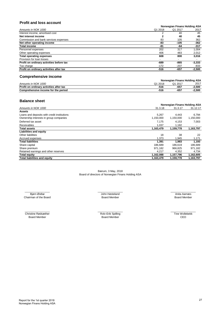# **Profit and loss account**

|                                          | Norwegian Finans Holding ASA |         |          |  |
|------------------------------------------|------------------------------|---------|----------|--|
| Amounts in NOK 1000                      | Q1 2018                      | Q1 2017 | 2017     |  |
| Interest income, amortised cost          |                              | 40      | 45       |  |
| Net interest income                      |                              | 40      | 45       |  |
| Commission and bank services expenses    | 83                           | 105     | 362      |  |
| Net other operating income               | -83                          | -105    | $-362$   |  |
| <b>Total income</b>                      | -81                          | -64     | $-317$   |  |
| Personnel expenses                       | 202                          | 317     | 1,004    |  |
| Other operating expenses                 | 406                          | 483     | 2,012    |  |
| <b>Total operating expenses</b>          | 608                          | 800     | 3,016    |  |
| Provision for loan losses                |                              |         |          |  |
| Profit on ordinary activities before tax | -689                         | -865    | $-3,333$ |  |
| Tax charge                               | $-172$                       | $-207$  | -833     |  |
| Profit on ordinary activities after tax  | -516                         | -657    | $-2,500$ |  |

## **Comprehensive income**

|                                         | Norwegian Finans Holding ASA |         |        |
|-----------------------------------------|------------------------------|---------|--------|
| Amounts in NOK 1000                     | Q1 2018                      | Q1 2017 | 2017   |
| Profit on ordinary activities after tax | -516                         | -657    | -2.500 |
| Comprehensive income for the period     | -516                         | -657    | -2,500 |

## **Balance sheet**

|                                             | Norwegian Finans Holding ASA |           |           |
|---------------------------------------------|------------------------------|-----------|-----------|
| Amounts in NOK 1000                         | 31.3.18                      | 31.3.17   | 31.12.17  |
| <b>Assets</b>                               |                              |           |           |
| Loans and deposits with credit institutions | 5,267                        | 4,443     | 6,794     |
| Ownership interests in group companies      | 1,150,000                    | 1,150,000 | 1,150,000 |
| Deferred tax asset                          | 7,175                        | 4,153     | 7,003     |
| Receivables                                 | 1,037                        | 1,182     |           |
| <b>Total assets</b>                         | 1,163,479                    | 1,159,778 | 1,163,797 |
| Liabilities and equity                      |                              |           |           |
| Other liabilities                           | 18                           | 38        | 22        |
| Accrued expenses                            | 1.373                        | 1,945     | 1,171     |
| <b>Total liabilities</b>                    | 1.391                        | 1.983     | 1,193     |
| Share capital                               | 186,689                      | 186,619   | 186,689   |
| Share premium                               | 971,182                      | 966,825   | 971,182   |
| Retained earnings and other reserves        | 4.217                        | 4,352     | 4,734     |
| <b>Total equity</b>                         | 1,162,088                    | 1,157,796 | 1,162,605 |
| <b>Total liabilities and equity</b>         | 1,163,479                    | 1,159,778 | 1,163,797 |

Bærum, 3 May, 2018 Board of directors of Norwegian Finans Holding ASA

\_\_\_\_\_\_\_\_\_\_\_\_\_\_\_\_\_ \_\_\_\_\_\_\_\_\_\_\_\_\_\_\_\_\_ \_\_\_\_\_\_\_\_\_\_\_\_\_\_\_\_\_ Bjørn Østbø **Green Anita Aarnæs Media Anita Aarnæs Media Anita Aarnæs Media Anita Aarnæs Anita Aarnæs Media Anita Aarnæs Media Anita Aarnæs Board Member (Board Member 1999) og det aarne de Board Member (Board Member 1999)** Chairman of the Board

Christine Rødsæther \_\_\_\_\_\_\_\_\_\_\_\_\_\_\_\_\_ \_\_\_\_\_\_\_\_\_\_\_\_\_\_\_\_\_ \_\_\_\_\_\_\_\_\_\_\_\_\_\_\_\_\_

Board Member **Board Member** CEO Rolv-Erik Spilling Tine Wollebekk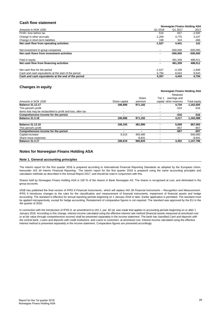## **Cash flow statement**

|                                                      |          | Norwegian Finans Holding ASA |            |  |  |
|------------------------------------------------------|----------|------------------------------|------------|--|--|
| Amounts in NOK 1000                                  | Q1 2018  | Q1 2017                      | 2017       |  |  |
| Profit / loss before tax                             | $-516$   | -657                         | $-2,500$   |  |  |
| Change in other accruals                             | $-1.209$ | 4.775                        | 3,107      |  |  |
| Change in short-term liabilities                     | 198      | 324                          | -466       |  |  |
| Net cash flow from operating activities              | $-1,527$ | 4,441                        | 141        |  |  |
| Net investment in group companies                    |          | $-500.000$                   | $-500.000$ |  |  |
| Net cash flows from investment activities            |          | $-500.000$                   | -500,000   |  |  |
| Paid-in equity                                       |          | 491.359                      | 498,011    |  |  |
| Net cash flow from financing activities              |          | 491.359                      | 498,011    |  |  |
| Net cash flow for the period                         | $-1,527$ | $-4.199$                     | $-1.849$   |  |  |
| Cash and cash equivalents at the start of the period | 6.794    | 8.643                        | 8,643      |  |  |
| Cash and cash equivalents at the end of the period   | 5,267    | 4,443                        | 6,794      |  |  |

## **Changes in equity**

|                                                              |               |                          |                          | Norwegian Finans Holding ASA           |                     |
|--------------------------------------------------------------|---------------|--------------------------|--------------------------|----------------------------------------|---------------------|
| Amounts in NOK 1000                                          | Share capital | Share<br>premium         | Tier                     | earnings and<br>capital other reserves | <b>Total equity</b> |
| <b>Balance 31.12.17</b>                                      | 186.689       | 971,182                  |                          | 4,734                                  | 1,162,605           |
| This period's profit                                         |               | ۰                        |                          | $-516$                                 | -516                |
| Items that may be reclassified to profit and loss, after tax |               | $\overline{\phantom{a}}$ | $\overline{\phantom{0}}$ |                                        |                     |
| Comprehensive income for the period                          |               | ۰                        |                          | $-516$                                 | $-516$              |
| <b>Balance 31.3.18</b>                                       | 186.688       | 971,182                  |                          | 4,217                                  | 1,162,088           |
| <b>Balance 31.12.16</b>                                      | 180.105       | 481,980                  |                          | 5,008                                  | 667,093             |
| This period's profit                                         |               |                          |                          | $-657$                                 | -657                |
| Comprehensive income for the period                          |               | ۰                        |                          | $-657$                                 | $-657$              |
| Capital increase                                             | 6.515         | 493.485                  |                          | ٠                                      | 500.000             |
| Share issue expenses                                         |               | $-8.641$                 |                          | $\overline{\phantom{0}}$               | $-8,641$            |
| <b>Balance 31.3.17</b>                                       | 186.619       | 966,825                  |                          | 4.352                                  | 1.157.796           |

## **Notes for Norwegian Finans Holding ASA**

#### **Note 1. General accounting principles**

The interim report for the first quarter 2018 is prepared according to International Financial Reporting Standards as adopted by the European Union, hereunder *IAS 34 Interim Financial Reporting* . The interim report for the first quarter 2018 is prepared using the same accounting principles and calculation methods as described in the Annual Report 2017, and should be read in conjunction with this.

Shares held by Norwegian Finans Holding ASA is 100 % of the shares in Bank Norwegian AS. The shares is recognised at cost, and eliminated in the group accounts.

IASB has published the final version of IFRS 9 *Financial Instruments* , which will replace IAS 39 *Financial Instruments – Recognition and Measurement* . IFRS 9 introduces changes to the rules for the classification and measurement of financial instruments, impairment of financial assets and hedge accounting. The standard is effective for annual reporting periods beginning on 1 January 2018 or later. Earlier application is permitted. The standard must be applied retrospectively, except for hedge accounting. Restatement of comparative figures is not required. The standard was approved by the EU in the 4th quarter of 2016.

In connection with the introduction of IFRS 9, an amendment to *IAS 1, par. 82 (a)* was made that applies to accounting periods beginning on or after 1 January 2018. According to this change, interest income calculated using the effective interest rate method (financial assets measured at amortized cost or at fair value through comprehensive income) shall be presented separately in the income statement. The bank has classified *Cash and deposits with the central bank* , *Loans and deposits with credit institutions* and *Loans to customers* at amortized cost. Interest income calculated using the effective interest method is presented separately in the income statement. Comparative figures are presented accordingly.